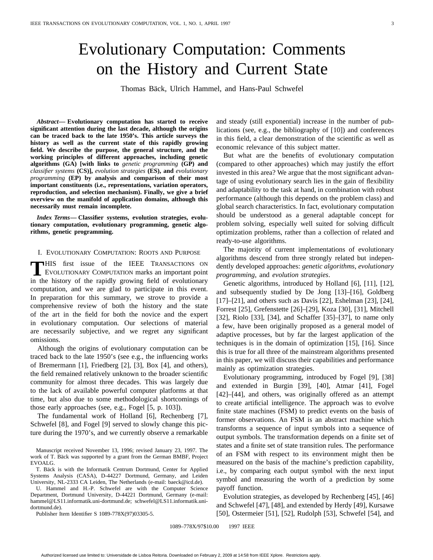# Evolutionary Computation: Comments on the History and Current State

Thomas Bäck, Ulrich Hammel, and Hans-Paul Schwefel

*Abstract—* **Evolutionary computation has started to receive significant attention during the last decade, although the origins can be traced back to the late 1950's. This article surveys the history as well as the current state of this rapidly growing field. We describe the purpose, the general structure, and the working principles of different approaches, including genetic algorithms (GA) [with links to** *genetic programming* **(GP) and** *classifier systems* **(CS)],** *evolution strategies* **(ES), and** *evolutionary programming* **(EP) by analysis and comparison of their most important constituents (i.e., representations, variation operators, reproduction, and selection mechanism). Finally, we give a brief overview on the manifold of application domains, although this necessarily must remain incomplete.**

*Index Terms—* **Classifier systems, evolution strategies, evolutionary computation, evolutionary programming, genetic algorithms, genetic programming.**

### I. EVOLUTIONARY COMPUTATION: ROOTS AND PURPOSE

**T**HIS first issue of the IEEE TRANSACTIONS ON EVOLUTIONARY COMPUTATION marks an important point in the history of the rapidly growing field of evolutionary computation, and we are glad to participate in this event. In preparation for this summary, we strove to provide a comprehensive review of both the history and the state of the art in the field for both the novice and the expert in evolutionary computation. Our selections of material are necessarily subjective, and we regret any significant omissions.

Although the origins of evolutionary computation can be traced back to the late 1950's (see e.g., the influencing works of Bremermann [1], Friedberg [2], [3], Box [4], and others), the field remained relatively unknown to the broader scientific community for almost three decades. This was largely due to the lack of available powerful computer platforms at that time, but also due to some methodological shortcomings of those early approaches (see, e.g., Fogel [5, p. 103]).

The fundamental work of Holland [6], Rechenberg [7], Schwefel [8], and Fogel [9] served to slowly change this picture during the 1970's, and we currently observe a remarkable

Manuscript received November 13, 1996; revised January 23, 1997. The work of T. Bäck was supported by a grant from the German BMBF, Project EVOALG.

T. Bäck is with the Informatik Centrum Dortmund, Center for Applied Systems Analysis (CASA), D-44227 Dortmund, Germany, and Leiden University, NL-2333 CA Leiden, The Netherlands (e-mail: baeck@icd.de).

U. Hammel and H.-P. Schwefel are with the Computer Science Department, Dortmund University, D-44221 Dortmund, Germany (e-mail: hammel@LS11.informatik.uni-dortmund.de; schwefel@LS11.informatik.unidortmund.de).

Publisher Item Identifier S 1089-778X(97)03305-5.

and steady (still exponential) increase in the number of publications (see, e.g., the bibliography of [10]) and conferences in this field, a clear demonstration of the scientific as well as economic relevance of this subject matter.

But what are the benefits of evolutionary computation (compared to other approaches) which may justify the effort invested in this area? We argue that the most significant advantage of using evolutionary search lies in the gain of flexibility and adaptability to the task at hand, in combination with robust performance (although this depends on the problem class) and global search characteristics. In fact, evolutionary computation should be understood as a general adaptable concept for problem solving, especially well suited for solving difficult optimization problems, rather than a collection of related and ready-to-use algorithms.

The majority of current implementations of evolutionary algorithms descend from three strongly related but independently developed approaches: *genetic algorithms*, *evolutionary programming*, and *evolution strategies*.

Genetic algorithms, introduced by Holland [6], [11], [12], and subsequently studied by De Jong [13]–[16], Goldberg [17]–[21], and others such as Davis [22], Eshelman [23], [24], Forrest [25], Grefenstette [26]–[29], Koza [30], [31], Mitchell [32], Riolo [33], [34], and Schaffer [35]–[37], to name only a few, have been originally proposed as a general model of adaptive processes, but by far the largest application of the techniques is in the domain of optimization [15], [16]. Since this is true for all three of the mainstream algorithms presented in this paper, we will discuss their capabilities and performance mainly as optimization strategies.

Evolutionary programming, introduced by Fogel [9], [38] and extended in Burgin [39], [40], Atmar [41], Fogel [42]–[44], and others, was originally offered as an attempt to create artificial intelligence. The approach was to evolve finite state machines (FSM) to predict events on the basis of former observations. An FSM is an abstract machine which transforms a sequence of input symbols into a sequence of output symbols. The transformation depends on a finite set of states and a finite set of state transition rules. The performance of an FSM with respect to its environment might then be measured on the basis of the machine's prediction capability, i.e., by comparing each output symbol with the next input symbol and measuring the worth of a prediction by some payoff function.

Evolution strategies, as developed by Rechenberg [45], [46] and Schwefel [47], [48], and extended by Herdy [49], Kursawe [50], Ostermeier [51], [52], Rudolph [53], Schwefel [54], and

1089–778X/97\$10.00 1997 IEEE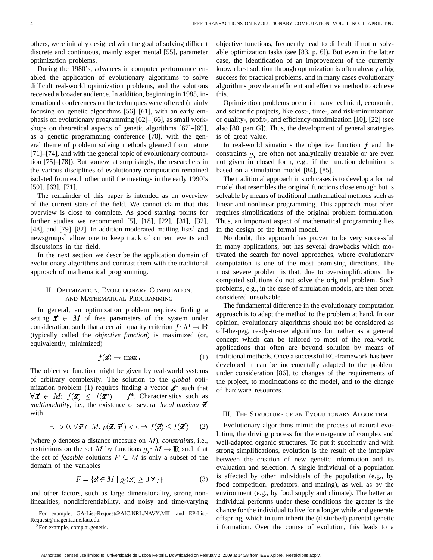others, were initially designed with the goal of solving difficult discrete and continuous, mainly experimental [55], parameter optimization problems.

During the 1980's, advances in computer performance enabled the application of evolutionary algorithms to solve difficult real-world optimization problems, and the solutions received a broader audience. In addition, beginning in 1985, international conferences on the techniques were offered (mainly focusing on genetic algorithms [56]–[61], with an early emphasis on evolutionary programming [62]–[66], as small workshops on theoretical aspects of genetic algorithms [67]–[69], as a genetic programming conference [70], with the general theme of problem solving methods gleaned from nature [71]–[74], and with the general topic of evolutionary computation [75]–[78]). But somewhat surprisingly, the researchers in the various disciplines of evolutionary computation remained isolated from each other until the meetings in the early 1990's [59], [63], [71].

The remainder of this paper is intended as an overview of the current state of the field. We cannot claim that this overview is close to complete. As good starting points for further studies we recommend [5], [18], [22], [31], [32], [48], and [79]–[82]. In addition moderated mailing lists<sup>1</sup> and newsgroups<sup>2</sup> allow one to keep track of current events and discussions in the field.

In the next section we describe the application domain of evolutionary algorithms and contrast them with the traditional approach of mathematical programming.

## II. OPTIMIZATION, EVOLUTIONARY COMPUTATION, AND MATHEMATICAL PROGRAMMING

In general, an optimization problem requires finding a setting  $\vec{x} \in M$  of free parameters of the system under consideration, such that a certain quality criterion  $f: M \to \mathbb{R}$ (typically called the *objective function*) is maximized (or, equivalently, minimized)

$$
f(\vec{x}) \to \max. \tag{1}
$$

The objective function might be given by real-world systems of arbitrary complexity. The solution to the *global* optimization problem (1) requires finding a vector  $\vec{x}^*$  such that  $\forall \vec{x} \in M$ :  $f(\vec{x}) \leq f(\vec{x}^*) = f^*$ . Characteristics such as *multimodality*, i.e., the existence of several *local maxima*  $\vec{x}'$ with

$$
\exists \varepsilon > 0: \forall \vec{x} \in M: \rho(\vec{x}, \vec{x}') < \varepsilon \Rightarrow f(\vec{x}) \le f(\vec{x}') \qquad (2)
$$

(where  $\rho$  denotes a distance measure on  $M$ ), *constraints*, i.e., restrictions on the set M by functions  $g_i: M \to \mathbb{R}$  such that the set of *feasible* solutions  $F \subseteq M$  is only a subset of the domain of the variables

$$
F = \{ \vec{x} \in M \mid g_j(\vec{x}) \ge 0 \,\forall j \}
$$
 (3)

and other factors, such as large dimensionality, strong nonlinearities, nondifferentiability, and noisy and time-varying

1For example, GA-List-Request@AIC.NRL.NAVY.MIL and EP-List-Request@magenta.me.fau.edu.

2For example, comp.ai.genetic.

objective functions, frequently lead to difficult if not unsolvable optimization tasks (see [83, p. 6]). But even in the latter case, the identification of an improvement of the currently known best solution through optimization is often already a big success for practical problems, and in many cases evolutionary algorithms provide an efficient and effective method to achieve this.

Optimization problems occur in many technical, economic, and scientific projects, like cost-, time-, and risk-minimization or quality-, profit-, and efficiency-maximization [10], [22] (see also [80, part G]). Thus, the development of general strategies is of great value.

In real-world situations the objective function  $f$  and the constraints  $g_i$  are often not analytically treatable or are even not given in closed form, e.g., if the function definition is based on a simulation model [84], [85].

The traditional approach in such cases is to develop a formal model that resembles the original functions close enough but is solvable by means of traditional mathematical methods such as linear and nonlinear programming. This approach most often requires simplifications of the original problem formulation. Thus, an important aspect of mathematical programming lies in the design of the formal model.

No doubt, this approach has proven to be very successful in many applications, but has several drawbacks which motivated the search for novel approaches, where evolutionary computation is one of the most promising directions. The most severe problem is that, due to oversimplifications, the computed solutions do not solve the original problem. Such problems, e.g., in the case of simulation models, are then often considered unsolvable.

The fundamental difference in the evolutionary computation approach is to adapt the method to the problem at hand. In our opinion, evolutionary algorithms should not be considered as off-the-peg, ready-to-use algorithms but rather as a general concept which can be tailored to most of the real-world applications that often are beyond solution by means of traditional methods. Once a successful EC-framework has been developed it can be incrementally adapted to the problem under consideration [86], to changes of the requirements of the project, to modifications of the model, and to the change of hardware resources.

#### III. THE STRUCTURE OF AN EVOLUTIONARY ALGORITHM

Evolutionary algorithms mimic the process of natural evolution, the driving process for the emergence of complex and well-adapted organic structures. To put it succinctly and with strong simplifications, evolution is the result of the interplay between the creation of new genetic information and its evaluation and selection. A single individual of a population is affected by other individuals of the population (e.g., by food competition, predators, and mating), as well as by the environment (e.g., by food supply and climate). The better an individual performs under these conditions the greater is the chance for the individual to live for a longer while and generate offspring, which in turn inherit the (disturbed) parental genetic information. Over the course of evolution, this leads to a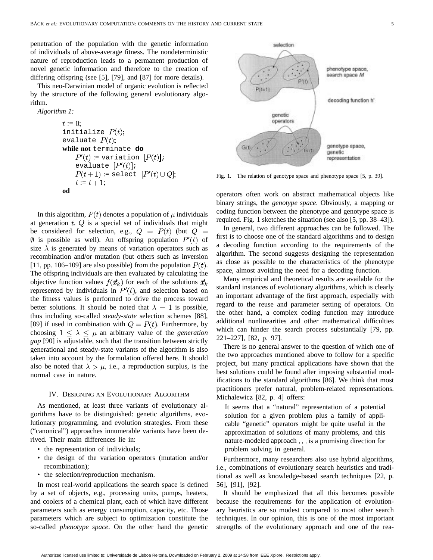penetration of the population with the genetic information of individuals of above-average fitness. The nondeterministic nature of reproduction leads to a permanent production of novel genetic information and therefore to the creation of differing offspring (see [5], [79], and [87] for more details).

This neo-Darwinian model of organic evolution is reflected by the structure of the following general evolutionary algorithm.

*Algorithm 1:*

 $t := 0;$ initialize  $P(t)$ ; evaluate  $P(t)$ ; **while not** terminate **do**  $P'(t)$ := variation  $[P(t)]$ ; evaluate  $[P'(t)]$ ;  $P(t+1)$ := select  $[P'(t) \cup Q]$ ;  $t:=t+1;$ **od**

In this algorithm,  $P(t)$  denotes a population of  $\mu$  individuals at generation  $t$ .  $Q$  is a special set of individuals that might be considered for selection, e.g.,  $Q = P(t)$  (but  $Q =$  $\emptyset$  is possible as well). An offspring population  $P'(t)$  of size  $\lambda$  is generated by means of variation operators such as recombination and/or mutation (but others such as inversion [11, pp. 106–109] are also possible) from the population  $P(t)$ . The offspring individuals are then evaluated by calculating the objective function values  $f(\vec{x}_k)$  for each of the solutions  $\vec{x}_k$ represented by individuals in  $P'(t)$ , and selection based on the fitness values is performed to drive the process toward better solutions. It should be noted that  $\lambda = 1$  is possible, thus including so-called *steady-state* selection schemes [88], [89] if used in combination with  $Q = P(t)$ . Furthermore, by choosing  $1 \leq \lambda \leq \mu$  an arbitrary value of the *generation gap* [90] is adjustable, such that the transition between strictly generational and steady-state variants of the algorithm is also taken into account by the formulation offered here. It should also be noted that  $\lambda > \mu$ , i.e., a reproduction surplus, is the normal case in nature.

## IV. DESIGNING AN EVOLUTIONARY ALGORITHM

As mentioned, at least three variants of evolutionary algorithms have to be distinguished: genetic algorithms, evolutionary programming, and evolution strategies. From these ("canonical") approaches innumerable variants have been derived. Their main differences lie in:

- the representation of individuals;
- the design of the variation operators (mutation and/or recombination);
- the selection/reproduction mechanism.

In most real-world applications the search space is defined by a set of objects, e.g., processing units, pumps, heaters, and coolers of a chemical plant, each of which have different parameters such as energy consumption, capacity, etc. Those parameters which are subject to optimization constitute the so-called *phenotype space*. On the other hand the genetic



Fig. 1. The relation of genotype space and phenotype space [5, p. 39].

operators often work on abstract mathematical objects like binary strings, the *genotype space*. Obviously, a mapping or coding function between the phenotype and genotype space is required. Fig. 1 sketches the situation (see also [5, pp. 38–43]).

In general, two different approaches can be followed. The first is to choose one of the standard algorithms and to design a decoding function according to the requirements of the algorithm. The second suggests designing the representation as close as possible to the characteristics of the phenotype space, almost avoiding the need for a decoding function.

Many empirical and theoretical results are available for the standard instances of evolutionary algorithms, which is clearly an important advantage of the first approach, especially with regard to the reuse and parameter setting of operators. On the other hand, a complex coding function may introduce additional nonlinearities and other mathematical difficulties which can hinder the search process substantially [79, pp. 221–227], [82, p. 97].

There is no general answer to the question of which one of the two approaches mentioned above to follow for a specific project, but many practical applications have shown that the best solutions could be found after imposing substantial modifications to the standard algorithms [86]. We think that most practitioners prefer natural, problem-related representations. Michalewicz [82, p. 4] offers:

It seems that a "natural" representation of a potential solution for a given problem plus a family of applicable "genetic" operators might be quite useful in the approximation of solutions of many problems, and this nature-modeled approach ... is a promising direction for problem solving in general.

Furthermore, many researchers also use hybrid algorithms, i.e., combinations of evolutionary search heuristics and traditional as well as knowledge-based search techniques [22, p. 56], [91], [92].

It should be emphasized that all this becomes possible because the requirements for the application of evolutionary heuristics are so modest compared to most other search techniques. In our opinion, this is one of the most important strengths of the evolutionary approach and one of the rea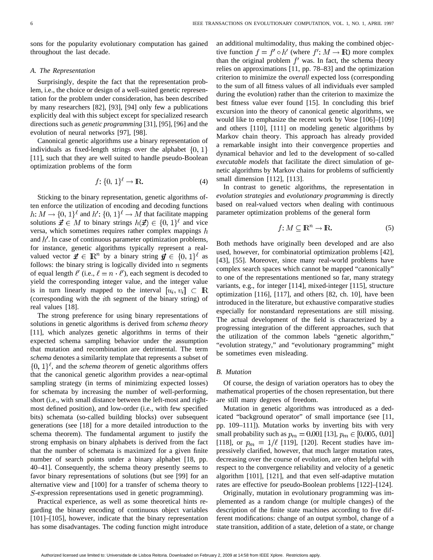sons for the popularity evolutionary computation has gained throughout the last decade.

#### *A. The Representation*

Surprisingly, despite the fact that the representation problem, i.e., the choice or design of a well-suited genetic representation for the problem under consideration, has been described by many researchers [82], [93], [94] only few a publications explicitly deal with this subject except for specialized research directions such as *genetic programming* [31], [95], [96] and the evolution of neural networks [97], [98].

Canonical genetic algorithms use a binary representation of individuals as fixed-length strings over the alphabet  $\{0, 1\}$ [11], such that they are well suited to handle pseudo-Boolean optimization problems of the form

$$
f: \{0, 1\}^{\ell} \to \mathbb{R}.\tag{4}
$$

Sticking to the binary representation, genetic algorithms often enforce the utilization of encoding and decoding functions  $h: M \to \{0, 1\}^{\ell}$  and  $h': \{0, 1\}^{\ell} \to M$  that facilitate mapping solutions  $\vec{x} \in M$  to binary strings  $h(\vec{x}) \in \{0, 1\}^{\ell}$  and vice versa, which sometimes requires rather complex mappings  $h$ and  $h'$ . In case of continuous parameter optimization problems, for instance, genetic algorithms typically represent a realvalued vector  $\vec{x} \in \mathbb{R}^n$  by a binary string  $\vec{y} \in \{0, 1\}^{\ell}$  as follows: the binary string is logically divided into  $n$  segments of equal length  $\ell'$  (i.e.,  $\ell = n \cdot \ell'$ ), each segment is decoded to yield the corresponding integer value, and the integer value is in turn linearly mapped to the interval  $[u_i, v_i] \subset \mathbb{R}$ (corresponding with the  $i$ th segment of the binary string) of real values [18].

The strong preference for using binary representations of solutions in genetic algorithms is derived from *schema theory* [11], which analyzes genetic algorithms in terms of their expected schema sampling behavior under the assumption that mutation and recombination are detrimental. The term *schema* denotes a similarity template that represents a subset of  $\{0, 1\}^{\ell}$ , and the *schema theorem* of genetic algorithms offers that the canonical genetic algorithm provides a near-optimal sampling strategy (in terms of minimizing expected losses) for schemata by increasing the number of well-performing, short (i.e., with small distance between the left-most and rightmost defined position), and low-order (i.e., with few specified bits) schemata (so-called building blocks) over subsequent generations (see [18] for a more detailed introduction to the schema theorem). The fundamental argument to justify the strong emphasis on binary alphabets is derived from the fact that the number of schemata is maximized for a given finite number of search points under a binary alphabet [18, pp. 40–41]. Consequently, the schema theory presently seems to favor binary representations of solutions (but see [99] for an alternative view and [100] for a transfer of schema theory to S-expression representations used in genetic programming).

Practical experience, as well as some theoretical hints regarding the binary encoding of continuous object variables [101]–[105], however, indicate that the binary representation has some disadvantages. The coding function might introduce an additional multimodality, thus making the combined objective function  $f = f' \circ h'$  (where  $f' : M \to \mathbb{R}$ ) more complex than the original problem  $f'$  was. In fact, the schema theory relies on approximations [11, pp. 78–83] and the optimization criterion to minimize the *overall* expected loss (corresponding to the sum of all fitness values of all individuals ever sampled during the evolution) rather than the criterion to maximize the best fitness value ever found [15]. In concluding this brief excursion into the theory of canonical genetic algorithms, we would like to emphasize the recent work by Vose [106]–[109] and others [110], [111] on modeling genetic algorithms by Markov chain theory. This approach has already provided a remarkable insight into their convergence properties and dynamical behavior and led to the development of so-called *executable models* that facilitate the direct simulation of genetic algorithms by Markov chains for problems of sufficiently small dimension [112], [113].

In contrast to genetic algorithms, the representation in *evolution strategies* and *evolutionary programming* is directly based on real-valued vectors when dealing with continuous parameter optimization problems of the general form

$$
f: M \subseteq \mathbb{R}^n \to \mathbb{R}.\tag{5}
$$

Both methods have originally been developed and are also used, however, for combinatorial optimization problems [42], [43], [55]. Moreover, since many real-world problems have complex search spaces which cannot be mapped "canonically" to one of the representations mentioned so far, many strategy variants, e.g., for integer [114], mixed-integer [115], structure optimization [116], [117], and others [82, ch. 10], have been introduced in the literature, but exhaustive comparative studies especially for nonstandard representations are still missing. The actual development of the field is characterized by a progressing integration of the different approaches, such that the utilization of the common labels "genetic algorithm," "evolution strategy," and "evolutionary programming" might be sometimes even misleading.

## *B. Mutation*

Of course, the design of variation operators has to obey the mathematical properties of the chosen representation, but there are still many degrees of freedom.

Mutation in genetic algorithms was introduced as a dedicated "background operator" of small importance (see [11, pp. 109–111]). Mutation works by inverting bits with very small probability such as  $p_m = 0.001$  [13],  $p_m \in [0.005, 0.01]$ [118], or  $p_m = 1/\ell$  [119], [120]. Recent studies have impressively clarified, however, that much larger mutation rates, decreasing over the course of evolution, are often helpful with respect to the convergence reliability and velocity of a genetic algorithm [101], [121], and that even self-adaptive mutation rates are effective for pseudo-Boolean problems [122]–[124].

Originally, mutation in evolutionary programming was implemented as a random change (or multiple changes) of the description of the finite state machines according to five different modifications: change of an output symbol, change of a state transition, addition of a state, deletion of a state, or change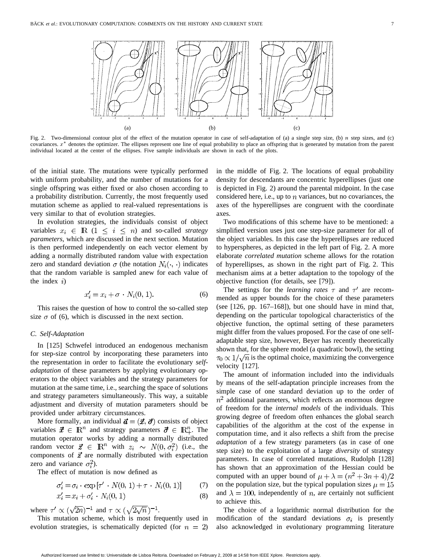

Fig. 2. Two-dimensional contour plot of the effect of the mutation operator in case of self-adaptation of (a) a single step size, (b) n step sizes, and (c) covariances.  $x^*$  denotes the optimizer. The ellipses represent one line of equal probability to place an offspring that is generated by mutation from the parent individual located at the center of the ellipses. Five sample individuals are shown in each of the plots.

of the initial state. The mutations were typically performed with uniform probability, and the number of mutations for a single offspring was either fixed or also chosen according to a probability distribution. Currently, the most frequently used mutation scheme as applied to real-valued representations is very similar to that of evolution strategies.

In evolution strategies, the individuals consist of object variables  $x_i \in \mathbb{R}$   $(1 \leq i \leq n)$  and so-called *strategy parameters*, which are discussed in the next section. Mutation is then performed independently on each vector element by adding a normally distributed random value with expectation zero and standard deviation  $\sigma$  (the notation  $N_i(\cdot, \cdot)$  indicates that the random variable is sampled anew for each value of the index  $i$ )

$$
x_i' = x_i + \sigma \cdot N_i(0, 1). \tag{6}
$$

This raises the question of how to control the so-called step size  $\sigma$  of (6), which is discussed in the next section.

## *C. Self-Adaptation*

In [125] Schwefel introduced an endogenous mechanism for step-size control by incorporating these parameters into the representation in order to facilitate the evolutionary *selfadaptation* of these parameters by applying evolutionary operators to the object variables and the strategy parameters for mutation at the same time, i.e., searching the space of solutions and strategy parameters simultaneously. This way, a suitable adjustment and diversity of mutation parameters should be provided under arbitrary circumstances.

More formally, an individual  $\vec{a} = (\vec{x}, \vec{\sigma})$  consists of object variables  $\vec{x} \in \mathbb{R}^n$  and strategy parameters  $\vec{\sigma} \in \mathbb{R}^n_+$ . The mutation operator works by adding a normally distributed random vector  $\vec{z} \in \mathbb{R}^n$  with  $z_i \sim N(0, \sigma_i^2)$  (i.e., the components of  $\vec{z}$  are normally distributed with expectation zero and variance  $\sigma_i^2$ ).

The effect of mutation is now defined as

$$
\sigma_i' = \sigma_i \cdot \exp\left[\tau' \cdot N(0, 1) + \tau \cdot N_i(0, 1)\right] \tag{7}
$$

$$
x_i' = x_i + \sigma_i' \cdot N_i(0, 1)
$$

where  $\tau' \propto (\sqrt{2n})^{-1}$  and  $\tau \propto (\sqrt{2\sqrt{n}})^{-1}$ .

This mutation scheme, which is most frequently used in evolution strategies, is schematically depicted (for  $n = 2$ )

in the middle of Fig. 2. The locations of equal probability density for descendants are concentric hyperellipses (just one is depicted in Fig. 2) around the parental midpoint. In the case considered here, i.e., up to  $n$  variances, but no covariances, the axes of the hyperellipses are congruent with the coordinate axes.

Two modifications of this scheme have to be mentioned: a simplified version uses just one step-size parameter for all of the object variables. In this case the hyperellipses are reduced to hyperspheres, as depicted in the left part of Fig. 2. A more elaborate *correlated mutation* scheme allows for the rotation of hyperellipses, as shown in the right part of Fig. 2. This mechanism aims at a better adaptation to the topology of the objective function (for details, see [79]).

The settings for the *learning rates*  $\tau$  and  $\tau'$  are recommended as upper bounds for the choice of these parameters (see [126, pp. 167–168]), but one should have in mind that, depending on the particular topological characteristics of the objective function, the optimal setting of these parameters might differ from the values proposed. For the case of one selfadaptable step size, however, Beyer has recently theoretically shown that, for the sphere model (a quadratic bowl), the setting  $\tau_0 \propto 1/\sqrt{n}$  is the optimal choice, maximizing the convergence velocity [127].

The amount of information included into the individuals by means of the self-adaptation principle increases from the simple case of one standard deviation up to the order of  $n<sup>2</sup>$  additional parameters, which reflects an enormous degree of freedom for the *internal models* of the individuals. This growing degree of freedom often enhances the global search capabilities of the algorithm at the cost of the expense in computation time, and it also reflects a shift from the precise *adaptation* of a few strategy parameters (as in case of one step size) to the exploitation of a large *diversity* of strategy parameters. In case of correlated mutations, Rudolph [128] has shown that an approximation of the Hessian could be computed with an upper bound of  $\mu + \lambda = (n^2 + 3n + 4)/2$ on the population size, but the typical population sizes  $\mu = 15$ and  $\lambda = 100$ , independently of *n*, are certainly not sufficient to achieve this.

The choice of a logarithmic normal distribution for the modification of the standard deviations  $\sigma_i$  is presently also acknowledged in evolutionary programming literature

(8)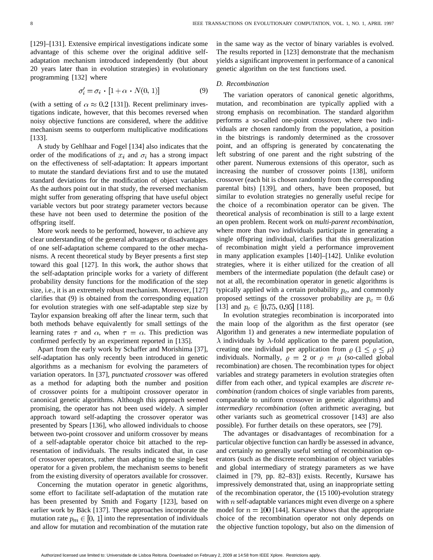[129]–[131]. Extensive empirical investigations indicate some advantage of this scheme over the original additive selfadaptation mechanism introduced independently (but about 20 years later than in evolution strategies) in evolutionary programming [132] where

$$
\sigma_i' = \sigma_i \cdot [1 + \alpha \cdot N(0, 1)] \tag{9}
$$

(with a setting of  $\alpha \approx 0.2$  [131]). Recent preliminary investigations indicate, however, that this becomes reversed when noisy objective functions are considered, where the additive mechanism seems to outperform multiplicative modifications [133].

A study by Gehlhaar and Fogel [134] also indicates that the order of the modifications of  $x_i$  and  $\sigma_i$  has a strong impact on the effectiveness of self-adaptation: It appears important to mutate the standard deviations first and to use the mutated standard deviations for the modification of object variables. As the authors point out in that study, the reversed mechanism might suffer from generating offspring that have useful object variable vectors but poor strategy parameter vectors because these have not been used to determine the position of the offspring itself.

More work needs to be performed, however, to achieve any clear understanding of the general advantages or disadvantages of one self-adaptation scheme compared to the other mechanisms. A recent theoretical study by Beyer presents a first step toward this goal [127]. In this work, the author shows that the self-adaptation principle works for a variety of different probability density functions for the modification of the step size, i.e., it is an extremely robust mechanism. Moreover, [127] clarifies that (9) is obtained from the corresponding equation for evolution strategies with one self-adaptable step size by Taylor expansion breaking off after the linear term, such that both methods behave equivalently for small settings of the learning rates  $\tau$  and  $\alpha$ , when  $\tau = \alpha$ . This prediction was confirmed perfectly by an experiment reported in [135].

Apart from the early work by Schaffer and Morishima [37], self-adaptation has only recently been introduced in genetic algorithms as a mechanism for evolving the parameters of variation operators. In [37], *punctuated crossover* was offered as a method for adapting both the number and position of crossover points for a multipoint crossover operator in canonical genetic algorithms. Although this approach seemed promising, the operator has not been used widely. A simpler approach toward self-adapting the crossover operator was presented by Spears [136], who allowed individuals to choose between two-point crossover and uniform crossover by means of a self-adaptable operator choice bit attached to the representation of individuals. The results indicated that, in case of crossover operators, rather than adapting to the single best operator for a given problem, the mechanism seems to benefit from the existing diversity of operators available for crossover.

Concerning the mutation operator in genetic algorithms, some effort to facilitate self-adaptation of the mutation rate has been presented by Smith and Fogarty [123], based on earlier work by Bäck [137]. These approaches incorporate the mutation rate  $p_m \in [0, 1]$  into the representation of individuals and allow for mutation and recombination of the mutation rate in the same way as the vector of binary variables is evolved. The results reported in [123] demonstrate that the mechanism yields a significant improvement in performance of a canonical genetic algorithm on the test functions used.

## *D. Recombination*

The variation operators of canonical genetic algorithms, mutation, and recombination are typically applied with a strong emphasis on recombination. The standard algorithm performs a so-called one-point crossover, where two individuals are chosen randomly from the population, a position in the bitstrings is randomly determined as the crossover point, and an offspring is generated by concatenating the left substring of one parent and the right substring of the other parent. Numerous extensions of this operator, such as increasing the number of crossover points [138], uniform crossover (each bit is chosen randomly from the corresponding parental bits) [139], and others, have been proposed, but similar to evolution strategies no generally useful recipe for the choice of a recombination operator can be given. The theoretical analysis of recombination is still to a large extent an open problem. Recent work on *multi-parent recombination*, where more than two individuals participate in generating a single offspring individual, clarifies that this generalization of recombination might yield a performance improvement in many application examples [140]–[142]. Unlike evolution strategies, where it is either utilized for the creation of all members of the intermediate population (the default case) or not at all, the recombination operator in genetic algorithms is typically applied with a certain probability  $p_c$ , and commonly proposed settings of the crossover probability are  $p_c = 0.6$ [13] and  $p_c \in [0.75, 0.95]$  [118].

In evolution strategies recombination is incorporated into the main loop of the algorithm as the first operator (see Algorithm 1) and generates a new intermediate population of  $\lambda$  individuals by  $\lambda$ -fold application to the parent population, creating one individual per application from  $\rho$  ( $1 \leq \rho \leq \mu$ ) individuals. Normally,  $\rho = 2$  or  $\rho = \mu$  (so-called global recombination) are chosen. The recombination types for object variables and strategy parameters in evolution strategies often differ from each other, and typical examples are *discrete recombination* (random choices of single variables from parents, comparable to uniform crossover in genetic algorithms) and *intermediary recombination* (often arithmetic averaging, but other variants such as geometrical crossover [143] are also possible). For further details on these operators, see [79].

The advantages or disadvantages of recombination for a particular objective function can hardly be assessed in advance, and certainly no generally useful setting of recombination operators (such as the discrete recombination of object variables and global intermediary of strategy parameters as we have claimed in [79, pp. 82–83]) exists. Recently, Kursawe has impressively demonstrated that, using an inappropriate setting of the recombination operator, the (15 100)-evolution strategy with  $n$  self-adaptable variances might even diverge on a sphere model for  $n = 100$  [144]. Kursawe shows that the appropriate choice of the recombination operator not only depends on the objective function topology, but also on the dimension of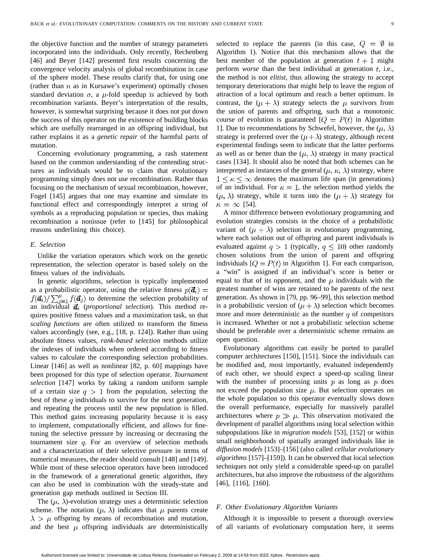the objective function and the number of strategy parameters incorporated into the individuals. Only recently, Rechenberg [46] and Beyer [142] presented first results concerning the convergence velocity analysis of global recombination in case of the sphere model. These results clarify that, for using one (rather than  $n$  as in Kursawe's experiment) optimally chosen standard deviation  $\sigma$ , a  $\mu$ -fold speedup is achieved by both recombination variants. Beyer's interpretation of the results, however, is somewhat surprising because it does not put down the success of this operator on the existence of building blocks which are usefully rearranged in an offspring individual, but rather explains it as a *genetic repair* of the harmful parts of mutation.

Concerning evolutionary programming, a rash statement based on the common understanding of the contending structures as individuals would be to claim that evolutionary programming simply does not use recombination. Rather than focusing on the mechanism of sexual recombination, however, Fogel [145] argues that one may examine and simulate its functional effect and correspondingly interpret a string of symbols as a reproducing population or species, thus making recombination a nonissue (refer to [145] for philosophical reasons underlining this choice).

## *E. Selection*

Unlike the variation operators which work on the genetic representation, the selection operator is based solely on the fitness values of the individuals.

In genetic algorithms, selection is typically implemented as a probabilistic operator, using the relative fitness  $p(\vec{a}_i)$  =  $f(\vec{a}_i)/\sum_{i=1}^{\mu} f(\vec{a}_i)$  to determine the selection probability of an individual  $\vec{a}_i$  (*proportional selection*). This method requires positive fitness values and a maximization task, so that *scaling functions* are often utilized to transform the fitness values accordingly (see, e.g., [18, p. 124]). Rather than using absolute fitness values, *rank-based selection* methods utilize the indexes of individuals when ordered according to fitness values to calculate the corresponding selection probabilities. Linear [146] as well as nonlinear [82, p. 60] mappings have been proposed for this type of selection operator. *Tournament selection* [147] works by taking a random uniform sample of a certain size  $q > 1$  from the population, selecting the best of these  $q$  individuals to survive for the next generation, and repeating the process until the new population is filled. This method gains increasing popularity because it is easy to implement, computationally efficient, and allows for finetuning the selective pressure by increasing or decreasing the tournament size  $q$ . For an overview of selection methods and a characterization of their selective pressure in terms of numerical measures, the reader should consult [148] and [149]. While most of these selection operators have been introduced in the framework of a generational genetic algorithm, they can also be used in combination with the steady-state and generation gap methods outlined in Section III.

The  $(\mu, \lambda)$ -evolution strategy uses a deterministic selection scheme. The notation  $(\mu, \lambda)$  indicates that  $\mu$  parents create  $\lambda > \mu$  offspring by means of recombination and mutation, and the best  $\mu$  offspring individuals are deterministically

selected to replace the parents (in this case,  $Q = \emptyset$  in Algorithm 1). Notice that this mechanism allows that the best member of the population at generation  $t + 1$  might perform *worse* than the best individual at generation  $t$ , i.e., the method is not *elitist*, thus allowing the strategy to accept temporary deteriorations that might help to leave the region of attraction of a local optimum and reach a better optimum. In contrast, the  $(\mu + \lambda)$  strategy selects the  $\mu$  survivors from the union of parents and offspring, such that a monotonic course of evolution is guaranteed  $[Q] = P(t)$  in Algorithm 1]. Due to recommendations by Schwefel, however, the  $(\mu, \lambda)$ strategy is preferred over the  $(\mu + \lambda)$  strategy, although recent experimental findings seem to indicate that the latter performs as well as or better than the  $(\mu, \lambda)$  strategy in many practical cases [134]. It should also be noted that both schemes can be interpreted as instances of the general ( $\mu$ ,  $\kappa$ ,  $\lambda$ ) strategy, where  $1 \leq \kappa \leq \infty$  denotes the maximum life span (in generations) of an individual. For  $\kappa = 1$ , the selection method yields the  $(\mu, \lambda)$  strategy, while it turns into the  $(\mu + \lambda)$  strategy for  $\kappa = \infty$  [54].

A minor difference between evolutionary programming and evolution strategies consists in the choice of a probabilistic variant of  $(\mu + \lambda)$  selection in evolutionary programming, where each solution out of offspring and parent individuals is evaluated against  $q > 1$  (typically,  $q \leq 10$ ) other randomly chosen solutions from the union of parent and offspring individuals  $[Q = P(t)$  in Algorithm 1]. For each comparison, a "win" is assigned if an individual's score is better or equal to that of its opponent, and the  $\mu$  individuals with the greatest number of wins are retained to be parents of the next generation. As shown in [79, pp. 96–99], this selection method is a probabilistic version of  $(\mu + \lambda)$  selection which becomes more and more deterministic as the number  $q$  of competitors is increased. Whether or not a probabilistic selection scheme should be preferable over a deterministic scheme remains an open question.

Evolutionary algorithms can easily be ported to parallel computer architectures [150], [151]. Since the individuals can be modified and, most importantly, evaluated independently of each other, we should expect a speed-up scaling linear with the number of processing units  $p$  as long as  $p$  does not exceed the population size  $\mu$ . But selection operates on the whole population so this operator eventually slows down the overall performance, especially for massively parallel architectures where  $p \gg \mu$ . This observation motivated the development of parallel algorithms using local selection within subpopulations like in *migration models* [53], [152] or within small neighborhoods of spatially arranged individuals like in *diffusion models* [153]–[156] (also called *cellular evolutionary algorithms* [157]–[159]). It can be observed that local selection techniques not only yield a considerable speed-up on parallel architectures, but also improve the robustness of the algorithms [46], [116], [160].

#### *F. Other Evolutionary Algorithm Variants*

Although it is impossible to present a thorough overview of all variants of evolutionary computation here, it seems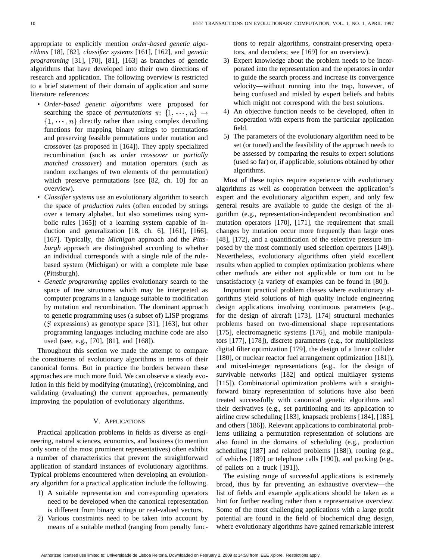appropriate to explicitly mention *order-based genetic algorithms* [18], [82], *classifier systems* [161], [162], and *genetic programming* [31], [70], [81], [163] as branches of genetic algorithms that have developed into their own directions of research and application. The following overview is restricted to a brief statement of their domain of application and some literature references:

- *Order-based genetic algorithms* were proposed for searching the space of *permutations*  $\pi$ :  $\{1, \dots, n\}$   $\rightarrow$  $\{1, \dots, n\}$  directly rather than using complex decoding functions for mapping binary strings to permutations and preserving feasible permutations under mutation and crossover (as proposed in [164]). They apply specialized recombination (such as *order crossover* or *partially matched crossover*) and mutation operators (such as random exchanges of two elements of the permutation) which preserve permutations (see [82, ch. 10] for an overview).
- *Classifier systems* use an evolutionary algorithm to search the space of *production rules* (often encoded by strings over a ternary alphabet, but also sometimes using symbolic rules [165]) of a learning system capable of induction and generalization [18, ch. 6], [161], [166], [167]. Typically, the *Michigan* approach and the *Pittsburgh* approach are distinguished according to whether an individual corresponds with a single rule of the rulebased system (Michigan) or with a complete rule base (Pittsburgh).
- *Genetic programming* applies evolutionary search to the space of tree structures which may be interpreted as computer programs in a language suitable to modification by mutation and recombination. The dominant approach to genetic programming uses (a subset of) LISP programs  $(S$  expressions) as genotype space [31], [163], but other programming languages including machine code are also used (see, e.g., [70], [81], and [168]).

Throughout this section we made the attempt to compare the constituents of evolutionary algorithms in terms of their canonical forms. But in practice the borders between these approaches are much more fluid. We can observe a steady evolution in this field by modifying (mutating), (re)combining, and validating (evaluating) the current approaches, permanently improving the population of evolutionary algorithms.

#### V. APPLICATIONS

Practical application problems in fields as diverse as engineering, natural sciences, economics, and business (to mention only some of the most prominent representatives) often exhibit a number of characteristics that prevent the straightforward application of standard instances of evolutionary algorithms. Typical problems encountered when developing an evolutionary algorithm for a practical application include the following.

- 1) A suitable representation and corresponding operators need to be developed when the canonical representation is different from binary strings or real-valued vectors.
- 2) Various constraints need to be taken into account by means of a suitable method (ranging from penalty func-

tions to repair algorithms, constraint-preserving operators, and decoders; see [169] for an overview).

- 3) Expert knowledge about the problem needs to be incorporated into the representation and the operators in order to guide the search process and increase its convergence velocity—without running into the trap, however, of being confused and misled by expert beliefs and habits which might not correspond with the best solutions.
- 4) An objective function needs to be developed, often in cooperation with experts from the particular application field.
- 5) The parameters of the evolutionary algorithm need to be set (or tuned) and the feasibility of the approach needs to be assessed by comparing the results to expert solutions (used so far) or, if applicable, solutions obtained by other algorithms.

Most of these topics require experience with evolutionary algorithms as well as cooperation between the application's expert and the evolutionary algorithm expert, and only few general results are available to guide the design of the algorithm (e.g., representation-independent recombination and mutation operators [170], [171], the requirement that small changes by mutation occur more frequently than large ones [48], [172], and a quantification of the selective pressure imposed by the most commonly used selection operators [149]). Nevertheless, evolutionary algorithms often yield excellent results when applied to complex optimization problems where other methods are either not applicable or turn out to be unsatisfactory (a variety of examples can be found in [80]).

Important practical problem classes where evolutionary algorithms yield solutions of high quality include engineering design applications involving continuous parameters (e.g., for the design of aircraft [173], [174] structural mechanics problems based on two-dimensional shape representations [175], electromagnetic systems [176], and mobile manipulators [177], [178]), discrete parameters (e.g., for multiplierless digital filter optimization [179], the design of a linear collider [180], or nuclear reactor fuel arrangement optimization [181]), and mixed-integer representations (e.g., for the design of survivable networks [182] and optical multilayer systems [115]). Combinatorial optimization problems with a straightforward binary representation of solutions have also been treated successfully with canonical genetic algorithms and their derivatives (e.g., set partitioning and its application to airline crew scheduling [183], knapsack problems [184], [185], and others [186]). Relevant applications to combinatorial problems utilizing a permutation representation of solutions are also found in the domains of scheduling (e.g., production scheduling [187] and related problems [188]), routing (e.g., of vehicles [189] or telephone calls [190]), and packing (e.g., of pallets on a truck [191]).

The existing range of successful applications is extremely broad, thus by far preventing an exhaustive overview—the list of fields and example applications should be taken as a hint for further reading rather than a representative overview. Some of the most challenging applications with a large profit potential are found in the field of biochemical drug design, where evolutionary algorithms have gained remarkable interest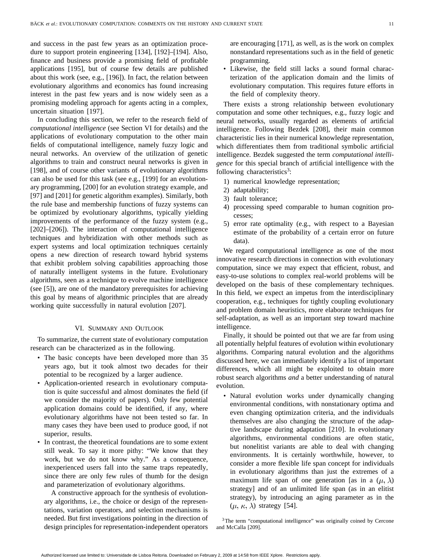and success in the past few years as an optimization procedure to support protein engineering [134], [192]–[194]. Also, finance and business provide a promising field of profitable applications [195], but of course few details are published about this work (see, e.g., [196]). In fact, the relation between evolutionary algorithms and economics has found increasing interest in the past few years and is now widely seen as a promising modeling approach for agents acting in a complex, uncertain situation [197].

In concluding this section, we refer to the research field of *computational intelligence* (see Section VI for details) and the applications of evolutionary computation to the other main fields of computational intelligence, namely fuzzy logic and neural networks. An overview of the utilization of genetic algorithms to train and construct neural networks is given in [198], and of course other variants of evolutionary algorithms can also be used for this task (see e.g., [199] for an evolutionary programming, [200] for an evolution strategy example, and [97] and [201] for genetic algorithm examples). Similarly, both the rule base and membership functions of fuzzy systems can be optimized by evolutionary algorithms, typically yielding improvements of the performance of the fuzzy system (e.g., [202]–[206]). The interaction of computational intelligence techniques and hybridization with other methods such as expert systems and local optimization techniques certainly opens a new direction of research toward hybrid systems that exhibit problem solving capabilities approaching those of naturally intelligent systems in the future. Evolutionary algorithms, seen as a technique to evolve machine intelligence (see [5]), are one of the mandatory prerequisites for achieving this goal by means of algorithmic principles that are already working quite successfully in natural evolution [207].

#### VI. SUMMARY AND OUTLOOK

To summarize, the current state of evolutionary computation research can be characterized as in the following.

- The basic concepts have been developed more than 35 years ago, but it took almost two decades for their potential to be recognized by a larger audience.
- Application-oriented research in evolutionary computation is quite successful and almost dominates the field (if we consider the majority of papers). Only few potential application domains could be identified, if any, where evolutionary algorithms have not been tested so far. In many cases they have been used to produce good, if not superior, results.
- In contrast, the theoretical foundations are to some extent still weak. To say it more pithy: "We know that they work, but we do not know why." As a consequence, inexperienced users fall into the same traps repeatedly, since there are only few rules of thumb for the design and parameterization of evolutionary algorithms.

A constructive approach for the synthesis of evolutionary algorithms, i.e., the choice or design of the representations, variation operators, and selection mechanisms is needed. But first investigations pointing in the direction of design principles for representation-independent operators are encouraging [171], as well, as is the work on complex nonstandard representations such as in the field of genetic programming.

• Likewise, the field still lacks a sound formal characterization of the application domain and the limits of evolutionary computation. This requires future efforts in the field of complexity theory.

There exists a strong relationship between evolutionary computation and some other techniques, e.g., fuzzy logic and neural networks, usually regarded as elements of artificial intelligence. Following Bezdek [208], their main common characteristic lies in their numerical knowledge representation, which differentiates them from traditional symbolic artificial intelligence. Bezdek suggested the term *computational intelligence* for this special branch of artificial intelligence with the following characteristics<sup>3</sup>:

- 1) numerical knowledge representation;
- 2) adaptability;
- 3) fault tolerance;
- 4) processing speed comparable to human cognition processes;
- 5) error rate optimality (e.g., with respect to a Bayesian estimate of the probability of a certain error on future data).

We regard computational intelligence as one of the most innovative research directions in connection with evolutionary computation, since we may expect that efficient, robust, and easy-to-use solutions to complex real-world problems will be developed on the basis of these complementary techniques. In this field, we expect an impetus from the interdisciplinary cooperation, e.g., techniques for tightly coupling evolutionary and problem domain heuristics, more elaborate techniques for self-adaptation, as well as an important step toward machine intelligence.

Finally, it should be pointed out that we are far from using all potentially helpful features of evolution within evolutionary algorithms. Comparing natural evolution and the algorithms discussed here, we can immediately identify a list of important differences, which all might be exploited to obtain more robust search algorithms *and* a better understanding of natural evolution.

• Natural evolution works under dynamically changing environmental conditions, with nonstationary optima and even changing optimization criteria, and the individuals themselves are also changing the structure of the adaptive landscape during adaptation [210]. In evolutionary algorithms, environmental conditions are often static, but nonelitist variants are able to deal with changing environments. It is certainly worthwhile, however, to consider a more flexible life span concept for individuals in evolutionary algorithms than just the extremes of a maximum life span of one generation [as in a  $(\mu, \lambda)$ ] strategy] and of an unlimited life span (as in an elitist strategy), by introducing an aging parameter as in the  $(\mu, \kappa, \lambda)$  strategy [54].

<sup>3</sup>The term "computational intelligence" was originally coined by Cercone and McCalla [209].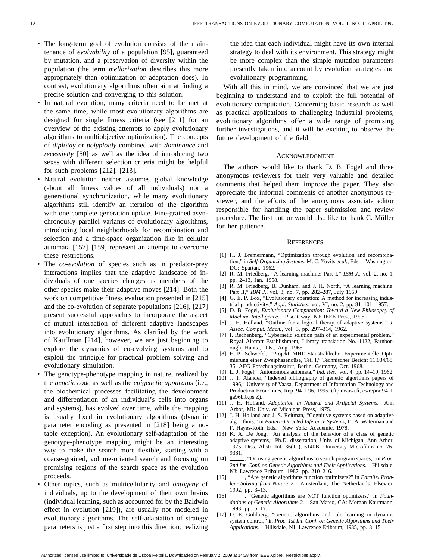- The long-term goal of evolution consists of the maintenance of *evolvability* of a population [95], guaranteed by mutation, and a preservation of diversity within the population (the term *meliorization* describes this more appropriately than optimization or adaptation does). In contrast, evolutionary algorithms often aim at finding a precise solution and converging to this solution.
- In natural evolution, many criteria need to be met at the same time, while most evolutionary algorithms are designed for single fitness criteria (see [211] for an overview of the existing attempts to apply evolutionary algorithms to multiobjective optimization). The concepts of *diploidy* or *polyploidy* combined with *dominance* and *recessivity* [50] as well as the idea of introducing two sexes with different selection criteria might be helpful for such problems [212], [213].
- Natural evolution neither assumes global knowledge (about all fitness values of all individuals) nor a generational synchronization, while many evolutionary algorithms still identify an iteration of the algorithm with one complete generation update. Fine-grained asynchronously parallel variants of evolutionary algorithms, introducing local neighborhoods for recombination and selection and a time-space organization like in cellular automata [157]–[159] represent an attempt to overcome these restrictions.
- The *co-evolution* of species such as in predator-prey interactions implies that the adaptive landscape of individuals of one species changes as members of the other species make their adaptive moves [214]. Both the work on competitive fitness evaluation presented in [215] and the co-evolution of separate populations [216], [217] present successful approaches to incorporate the aspect of mutual interaction of different adaptive landscapes into evolutionary algorithms. As clarified by the work of Kauffman [214], however, we are just beginning to explore the dynamics of co-evolving systems and to exploit the principle for practical problem solving and evolutionary simulation.
- The genotype-phenotype mapping in nature, realized by the *genetic code* as well as the *epigenetic apparatus* (i.e., the biochemical processes facilitating the development and differentiation of an individual's cells into organs and systems), has evolved over time, while the mapping is usually fixed in evolutionary algorithms (dynamic parameter encoding as presented in [218] being a notable exception). An evolutionary self-adaptation of the genotype-phenotype mapping might be an interesting way to make the search more flexible, starting with a coarse-grained, volume-oriented search and focusing on promising regions of the search space as the evolution proceeds.
- Other topics, such as multicellularity and *ontogeny* of individuals, up to the development of their own brains (individual learning, such as accounted for by the Baldwin effect in evolution [219]), are usually not modeled in evolutionary algorithms. The self-adaptation of strategy parameters is just a first step into this direction, realizing

the idea that each individual might have its own internal strategy to deal with its environment. This strategy might be more complex than the simple mutation parameters presently taken into account by evolution strategies and evolutionary programming.

With all this in mind, we are convinced that we are just beginning to understand and to exploit the full potential of evolutionary computation. Concerning basic research as well as practical applications to challenging industrial problems, evolutionary algorithms offer a wide range of promising further investigations, and it will be exciting to observe the future development of the field.

#### ACKNOWLEDGMENT

The authors would like to thank D. B. Fogel and three anonymous reviewers for their very valuable and detailed comments that helped them improve the paper. They also appreciate the informal comments of another anonymous reviewer, and the efforts of the anonymous associate editor responsible for handling the paper submission and review procedure. The first author would also like to thank C. Müller for her patience.

#### **REFERENCES**

- [1] H. J. Bremermann, "Optimization through evolution and recombination," in *Self-Organizing Systems,* M. C. Yovits *et al.,* Eds. Washington, DC: Spartan, 1962.
- [2] R. M. Friedberg, "A learning machine: Part I," *IBM J.,* vol. 2, no. 1, pp. 2–13, Jan. 1958.
- [3] R. M. Friedberg, B. Dunham, and J. H. North, "A learning machine: Part II," *IBM J.,* vol. 3, no. 7, pp. 282–287, July 1959.
- [4] G. E. P. Box, "Evolutionary operation: A method for increasing industrial productivity," *Appl. Statistics,* vol. VI, no. 2, pp. 81–101, 1957.
- [5] D. B. Fogel, *Evolutionary Computation: Toward a New Philosophy of Machine Intelligence.* Piscataway, NJ: IEEE Press, 1995.
- [6] J. H. Holland, "Outline for a logical theory of adaptive systems," *J. Assoc. Comput. Mach.,* vol. 3, pp. 297–314, 1962.
- [7] I. Rechenberg, "Cybernetic solution path of an experimental problem," Royal Aircraft Establishment, Library translation No. 1122, Farnborough, Hants., U.K., Aug. 1965.
- [8] H.-P. Schwefel, "Projekt MHD-Staustrahlrohr: Experimentelle Optimierung einer Zweiphasendüse, Teil I," Technischer Bericht 11.034/68, 35, AEG Forschungsinstitut, Berlin, Germany, Oct. 1968.
- [9] L. J. Fogel, "Autonomous automata," *Ind. Res.,* vol. 4, pp. 14–19, 1962.
- [10] J. T. Alander, "Indexed bibliography of genetic algorithms papers of 1996," University of Vaasa, Department of Information Technology and Production Economics, Rep. 94-1-96, 1995, (ftp.uwasa.fi, cs/report94-1, ga96bib.ps.Z).
- [11] J. H. Holland, *Adaptation in Natural and Artificial Systems*. Ann Arbor, MI: Univ. of Michigan Press, 1975.
- [12] J. H. Holland and J. S. Reitman, "Cognitive systems based on adaptive algorithms," in *Pattern-Directed Inference Systems,* D. A. Waterman and F. Hayes-Roth, Eds. New York: Academic, 1978.
- [13] K. A. De Jong, "An analysis of the behavior of a class of genetic adaptive systems," Ph.D. dissertation, Univ. of Michigan, Ann Arbor, 1975, Diss. Abstr. Int. 36(10), 5140B, University Microfilms no. 76- 9381.
- [14]  $\_\_\_\$ , "On using genetic algorithms to search program spaces," in *Proc. 2nd Int. Conf. on Genetic Algorithms and Their Applications.* Hillsdale, NJ: Lawrence Erlbaum, 1987, pp. 210–216.
- [15] \_\_\_\_, "Are genetic algorithms function optimizers?" in *Parallel Problem Solving from Nature 2.* Amsterdam, The Netherlands: Elsevier, 1992, pp. 3–13.
- [16]  $\frac{1}{\sqrt{16}}$  (Genetic algorithms are NOT function optimizers," in *Foundations of Genetic Algorithms 2.* San Mateo, CA: Morgan Kaufmann, 1993, pp. 5–17.
- [17] D. E. Goldberg, "Genetic algorithms and rule learning in dynamic system control," in *Proc. 1st Int. Conf. on Genetic Algorithms and Their Applications.* Hillsdale, NJ: Lawrence Erlbaum, 1985, pp. 8–15.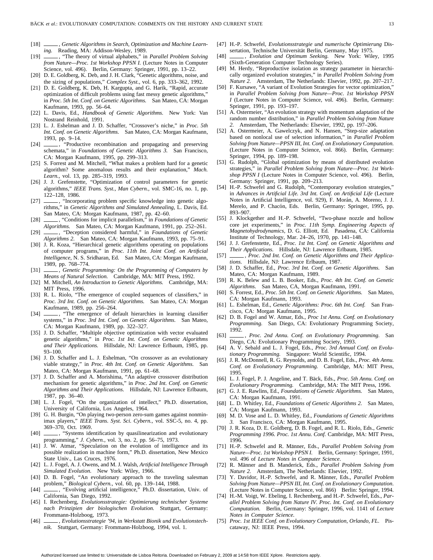- [18] , *Genetic Algorithms in Search, Optimization and Machine Learning.* Reading, MA: Addison-Wesley, 1989.
- [19] \_\_\_\_\_, "The theory of virtual alphabets," in *Parallel Problem Solving from Nature—Proc. 1st Workshop PPSN I.* (Lecture Notes in Computer Science, vol. 496). Berlin, Germany: Springer, 1991, pp. 13–22.
- [20] D. E. Goldberg, K. Deb, and J. H. Clark, "Genetic algorithms, noise, and the sizing of populations," *Complex Syst.,* vol. 6, pp. 333–362, 1992.
- [21] D. E. Goldberg, K. Deb, H. Kargupta, and G. Harik, "Rapid, accurate optimization of difficult problems using fast messy genetic algorithms," in *Proc. 5th Int. Conf. on Genetic Algorithms.* San Mateo, CA: Morgan Kaufmann, 1993, pp. 56–64.
- [22] L. Davis, Ed., *Handbook of Genetic Algorithms.* New York: Van Nostrand Reinhold, 1991.
- [23] L. J. Eshelman and J. D. Schaffer, "Crossover's niche," in *Proc. 5th Int. Conf. on Genetic Algorithms.* San Mateo, CA: Morgan Kaufmann, 1993, pp. 9–14.
- [24]  $\frac{1}{2}$ , "Productive recombination and propagating and preserving schemata," in *Foundations of Genetic Algorithms 3.* San Francisco, CA: Morgan Kaufmann, 1995, pp. 299–313.
- [25] S. Forrest and M. Mitchell, "What makes a problem hard for a genetic algorithm? Some anomalous results and their explanation," *Mach. Learn.,* vol. 13, pp. 285–319, 1993.
- [26] J. J. Grefenstette, "Optimization of control parameters for genetic algorithms," *IEEE Trans. Syst., Man Cybern.,* vol. SMC-16, no. 1, pp. 122–128, 1986.
- [27]  $\_\_\_\$ , "Incorporating problem specific knowledge into genetic algorithms," in *Genetic Algorithms and Simulated Annealing,* L. Davis, Ed. San Mateo, CA: Morgan Kaufmann, 1987, pp. 42–60.
- [28] , "Conditions for implicit parallelism," in *Foundations of Genetic Algorithms.* San Mateo, CA: Morgan Kaufmann, 1991, pp. 252–261.
- [29]  $\_\_\_\_\$ , "Deception considered harmful," in *Foundations of Genetic Algorithms 2.* San Mateo, CA: Morgan Kaufmann, 1993, pp. 75–91.
- [30] J. R. Koza, "Hierarchical genetic algorithms operating on populations of computer programs," in *Proc. 11th Int. Joint Conf. on Artificial Intelligence,* N. S. Sridharan, Ed. San Mateo, CA: Morgan Kaufmann, 1989, pp. 768–774.
- [31] \_\_\_\_\_, *Genetic Programming: On the Programming of Computers by Means of Natural Selection.* Cambridge, MA: MIT Press, 1992.
- [32] M. Mitchell, *An Introduction to Genetic Algorithms.* Cambridge, MA: MIT Press, 1996.
- [33] R. L. Riolo, "The emergence of coupled sequences of classifiers," in *Proc. 3rd Int. Conf. on Genetic Algorithms.* San Mateo, CA: Morgan Kaufmann, 1989, pp. 256–264.
- [34] \_\_\_\_\_, "The emergence of default hierarchies in learning classifier systems," in *Proc. 3rd Int. Conf. on Genetic Algorithms.* San Mateo, CA: Morgan Kaufmann, 1989, pp. 322–327.
- [35] J. D. Schaffer, "Multiple objective optimization with vector evaluated genetic algorithms," in *Proc. 1st Int. Conf. on Genetic Algorithms and Their Applications.* Hillsdale, NJ: Lawrence Erlbaum, 1985, pp. 93–100.
- [36] J. D. Schaffer and L. J. Eshelman, "On crossover as an evolutionary viable strategy," in *Proc. 4th Int. Conf. on Genetic Algorithms.* San Mateo, CA: Morgan Kaufmann, 1991, pp. 61–68.
- [37] J. D. Schaffer and A. Morishima, "An adaptive crossover distribution mechanism for genetic algorithms," in *Proc. 2nd Int. Conf. on Genetic Algorithms and Their Applications.* Hillsdale, NJ: Lawrence Erlbaum, 1987, pp. 36–40.
- [38] L. J. Fogel, "On the organization of intellect," Ph.D. dissertation, University of California, Los Angeles, 1964.
- [39] G. H. Burgin, "On playing two-person zero-sum games against nonminimax players," *IEEE Trans. Syst. Sci. Cybern.,* vol. SSC-5, no. 4, pp. 369–370, Oct. 1969.
- [40]  $\_\_\_\$ , "Systems identification by quasilinearization and evolutionary programming," *J. Cybern.,* vol. 3, no. 2, pp. 56–75, 1973.
- [41] J. W. Atmar, "Speculation on the evolution of intelligence and its possible realization in machine form," Ph.D. dissertation, New Mexico State Univ., Las Cruces, 1976.
- [42] L. J. Fogel, A. J. Owens, and M. J. Walsh, *Artificial Intelligence Through Simulated Evolution.* New York: Wiley, 1966.
- [43] D. B. Fogel, "An evolutionary approach to the traveling salesman problem," *Biological Cybern.,* vol. 60, pp. 139–144, 1988.
- [44] , "Evolving artificial intelligence," Ph.D. dissertation, Univ. of California, San Diego, 1992.
- [45] I. Rechenberg, *Evolutionsstrategie: Optimierung technischer Systeme nach Prinzipien der biologischen Evolution.* Stuttgart, Germany: Frommann-Holzboog, 1973.
- [46] , *Evolutionsstrategie '94,* in *Werkstatt Bionik und Evolutionstechnik.* Stuttgart, Germany: Frommann-Holzboog, 1994, vol. 1.
- [47] H.-P. Schwefel, *Evolutionsstrategie und numerische Optimierung* Dissertation, Technische Universität Berlin, Germany, May 1975.
- [48] , *Evolution and Optimum Seeking.* New York: Wiley, 1995 (Sixth-Generation Computer Technology Series).
- [49] M. Herdy, "Reproductive isolation as strategy parameter in hierarchically organized evolution strategies," in *Parallel Problem Solving from Nature 2.* Amsterdam, The Netherlands: Elsevier, 1992, pp. 207–217.
- [50] F. Kursawe, "A variant of Evolution Strategies for vector optimization," in *Parallel Problem Solving from Nature—Proc. 1st Workshop PPSN I* (Lecture Notes in Computer Science, vol. 496). Berlin, Germany: Springer, 1991, pp. 193–197.
- [51] A. Ostermeier, "An evolution strategy with momentum adaptation of the random number distribution," in *Parallel Problem Solving from Nature 2.* Amsterdam, The Netherlands: Elsevier, 1992, pp. 197–206.
- [52] A. Ostermeier, A. Gawelczyk, and N. Hansen, "Step-size adaptation based on nonlocal use of selection information," in *Parallel Problem Solving from Nature—PPSN III, Int. Conf. on Evolutionary Computation.* (Lecture Notes in Computer Science, vol. 866). Berlin, Germany: Springer, 1994, pp. 189–198.
- [53] G. Rudolph, "Global optimization by means of distributed evolution strategies," in *Parallel Problem Solving from Nature—Proc. 1st Workshop PPSN I* (Lecture Notes in Computer Science, vol. 496). Berlin, Germany: Springer, 1991, pp. 209–213.
- [54] H.-P. Schwefel and G. Rudolph, "Contemporary evolution strategies," in *Advances in Artificial Life. 3rd Int. Conf. on Artificial Life* (Lecture Notes in Artificial Intelligence, vol. 929), F. Moran, A. Moreno, J. J. ´ Merelo, and P. Chacón, Eds. Berlin, Germany: Springer, 1995, pp. 893–907.
- [55] J. Klockgether and H.-P. Schwefel, "Two-phase nozzle and hollow core jet experiments," in *Proc. 11th Symp. Engineering Aspects of Magnetohydrodynamics,* D. G. Elliott, Ed. Pasadena, CA: California Institute of Technology, Mar. 24–26, 1970, pp. 141–148.
- [56] J. J. Grefenstette, Ed., *Proc. 1st Int. Conf. on Genetic Algorithms and Their Applications.* Hillsdale, NJ: Lawrence Erlbaum, 1985.
- [57]  $\frac{1}{2}$ , *Proc. 2nd Int. Conf. on Genetic Algorithms and Their Applications.* Hillsdale, NJ: Lawrence Erlbaum, 1987.
- [58] J. D. Schaffer, Ed., *Proc. 3rd Int. Conf. on Genetic Algorithms.* San Mateo, CA: Morgan Kaufmann, 1989.
- [59] R. K. Belew and L. B. Booker, Eds., *Proc. 4th Int. Conf. on Genetic Algorithms.* San Mateo, CA, Morgan Kaufmann, 1991.
- [60] S. Forrest, Ed., *Proc. 5th Int. Conf. on Genetic Algorithms.* San Mateo, CA: Morgan Kaufmann, 1993.
- [61] L. Eshelman, Ed., *Genetic Algorithms: Proc. 6th Int. Conf.* San Francisco, CA: Morgan Kaufmann, 1995.
- [62] D. B. Fogel and W. Atmar, Eds., *Proc 1st Annu. Conf. on Evolutionary Programming.* San Diego, CA: Evolutionary Programming Society, 1992.
- [63] , *Proc. 2nd Annu. Conf. on Evolutionary Programming.* San Diego, CA: Evolutionary Programming Society, 1993.
- [64] A. V. Sebald and L. J. Fogel, Eds., *Proc. 3rd Annual Conf. on Evolutionary Programming.* Singapore: World Scientific, 1994.
- [65] J. R. McDonnell, R. G. Reynolds, and D. B. Fogel, Eds., *Proc. 4th Annu. Conf. on Evolutionary Programming.* Cambridge, MA: MIT Press, 1995.
- [66] L. J. Fogel, P. J. Angeline, and T. Bäck, Eds., Proc. 5th Annu. Conf. on *Evolutionary Programming.* Cambridge, MA: The MIT Press, 1996.
- [67] G. J. E. Rawlins, Ed., *Foundations of Genetic Algorithms.* San Mateo, CA: Morgan Kaufmann, 1991.
- [68] L. D. Whitley, Ed., *Foundations of Genetic Algorithms 2.* San Mateo, CA: Morgan Kaufmann, 1993.
- [69] M. D. Vose and L. D. Whitley, Ed., *Foundations of Genetic Algorithms 3.* San Francisco, CA: Morgan Kaufmann, 1995.
- [70] J. R. Koza, D. E. Goldberg, D. B. Fogel, and R. L. Riolo, Eds., *Genetic Programming 1996. Proc. 1st Annu. Conf.* Cambridge, MA: MIT Press, 1996.
- [71] H.-P. Schwefel and R. Männer, Eds., *Parallel Problem Solving from Nature—Proc. 1st Workshop PPSN I.* Berlin, Germany: Springer, 1991, vol. 496 of *Lecture Notes in Computer Science*.
- [72] R. Männer and B. Manderick, Eds., *Parallel Problem Solving from Nature 2.* Amsterdam, The Netherlands: Elsevier, 1992.
- [73] Y. Davidor, H.-P. Schwefel, and R. Männer, Eds., Parallel Problem *Solving from Nature—PPSN III, Int. Conf. on Evolutionary Computation.* (Lecture Notes in Computer Science, vol. 866) Berlin: Springer, 1994.
- [74] H.-M. Voigt, W. Ebeling, I. Rechenberg, and H.-P. Schwefel, Eds., *Parallel Problem Solving from Nature IV. Proc. Int. Conf. on Evolutionary Computation.* Berlin, Germany: Springer, 1996, vol. 1141 of *Lecture Notes in Computer Science*.
- [75] *Proc. 1st IEEE Conf. on Evolutionary Computation, Orlando, FL*. Piscataway, NJ: IEEE Press, 1994.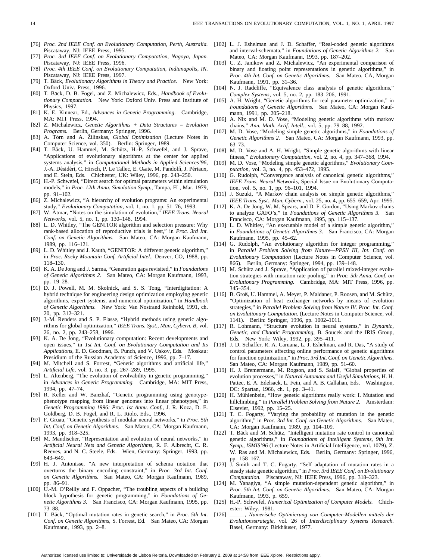- [76] *Proc. 2nd IEEE Conf. on Evolutionary Computation, Perth, Australia.* Piscataway, NJ: IEEE Press, 1995.
- [77] *Proc. 3rd IEEE Conf. on Evolutionary Computation, Nagoya, Japan.* Piscataway, NJ: IEEE Press, 1996.
- [78] *Proc. 4th IEEE Conf. on Evolutionary Computation, Indianapolis, IN.* Piscataway, NJ: IEEE Press, 1997.
- [79] T. Bäck, *Evolutionary Algorithms in Theory and Practice*. New York: Oxford Univ. Press, 1996.
- [80] T. Bäck, D. B. Fogel, and Z. Michalewicz, Eds., *Handbook of Evolutionary Computation.* New York: Oxford Univ. Press and Institute of Physics, 1997.
- [81] K. E. Kinnear, Ed., *Advances in Genetic Programming.* Cambridge, MA: MIT Press, 1994.
- [82] Z. Michalewicz, *Genetic Algorithms + Data Structures = Evolution Programs.* Berlin, Germany: Springer, 1996.
- [83] A. Törn and A. Žilinskas, Global Optimization (Lecture Notes in Computer Science, vol. 350). Berlin: Springer, 1989.
- [84] T. Bäck, U. Hammel, M. Schütz, H.-P. Schwefel, and J. Sprave, "Applications of evolutionary algorithms at the center for applied systems analysis," in *Computational Methods in Applied Sciences'96, P. Michalewicz, Genera Algorianis* 1996.<br> *Programs.* Berlin, Germany: Springer, 1996.<br>
A. Törn and A. Žilinskas, *Global Optimization* (Lecture Notes in<br>
Computer Science, vol. 350). Berlin: Springer, 1989.<br>
T. Bäck, U. and E. Stein, Eds. Chichester, UK: Wiley, 1996, pp. 243–250.
- [85] H.-P. Schwefel, "Direct search for optimal parameters within simulation models," in *Proc. 12th Annu. Simulation Symp.,* Tampa, FL, Mar. 1979, pp. 91–102.
- [86] Z. Michalewicz, "A hierarchy of evolution programs: An experimental study," *Evolutionary Computation,* vol. 1, no. 1, pp. 51–76, 1993.
- [87] W. Atmar, "Notes on the simulation of evolution," *IEEE Trans. Neural Networks,* vol. 5, no. 1, pp. 130–148, 1994.
- [88] L. D. Whitley, "The GENITOR algorithm and selection pressure: Why rank-based allocation of reproductive trials is best," in *Proc. 3rd Int. Conf. on Genetic Algorithms.* San Mateo, CA: Morgan Kaufmann, 1989, pp. 116–121.
- [89] L. D. Whitley and J. Kauth, "GENITOR: A different genetic algorithm," in *Proc. Rocky Mountain Conf. Artificial Intel.,* Denver, CO, 1988, pp. 118–130.
- [90] K. A. De Jong and J. Sarma, "Generation gaps revisited," in *Foundations of Genetic Algorithms 2.* San Mateo, CA: Morgan Kaufmann, 1993, pp. 19–28.
- [91] D. J. Powell, M. M. Skolnick, and S. S. Tong, "Interdigitation: A hybrid technique for engineering design optimization employing genetic algorithms, expert systems, and numerical optimization," in *Handbook of Genetic Algorithms.* New York: Van Nostrand Reinhold, 1991, ch. 20, pp. 312–321.
- [92] J.-M. Renders and S. P. Flasse, "Hybrid methods using genetic algorithms for global optimization," *IEEE Trans. Syst., Man, Cybern. B,* vol. 26, no. 2, pp. 243–258, 1996.
- [93] K. A. De Jong, "Evolutionary computation: Recent developments and open issues," in *1st Int. Conf. on Evolutionary Computation and Its Applications,* E. D. Goodman, B. Punch, and V. Uskov, Eds. Moskau: Presidium of the Russian Academy of Science, 1996, pp. 7–17.
- [94] M. Mitchell and S. Forrest, "Genetic algorithms and artificial life," *Artificial Life,* vol. 1, no. 3, pp. 267–289, 1995.
- [95] L. Altenberg, "The evolution of evolvability in genetic programming," in *Advances in Genetic Programming.* Cambridge, MA: MIT Press, 1994, pp. 47–74.
- [96] R. Keller and W. Banzhaf, "Genetic programming using genotypephenotype mapping from linear genomes into linear phenotypes," in *Genetic Programming 1996: Proc. 1st Annu. Conf.,* J. R. Koza, D. E. Goldberg, D. B. Fogel, and R. L. Riolo, Eds., 1996.
- [97] F. Gruau, "Genetic synthesis of modular neural networks," in *Proc. 5th Int. Conf. on Genetic Algorithms.* San Mateo, CA: Morgan Kaufmann, 1993, pp. 318–325.
- [98] M. Mandischer, "Representation and evolution of neural networks," in *Artificial Neural Nets and Genetic Algorithms,* R. F. Albrecht, C. R. Reeves, and N. C. Steele, Eds. Wien, Germany: Springer, 1993, pp. 643–649.
- [99] H. J. Antonisse, "A new interpretation of schema notation that overturns the binary encoding constraint," in *Proc. 3rd Int. Conf. on Genetic Algorithms.* San Mateo, CA: Morgan Kaufmann, 1989, pp. 86–91.
- [100] U.-M. O'Reilly and F. Oppacher, "The troubling aspects of a building block hypothesis for genetic programming," in *Foundations of Genetic Algorithms 3.* San Francisco, CA: Morgan Kaufmann, 1995, pp. 73–88.
- [101] T. Bäck, "Optimal mutation rates in genetic search," in Proc. 5th Int. *Conf. on Genetic Algorithms,* S. Forrest, Ed. San Mateo, CA: Morgan Kaufmann, 1993, pp. 2–8.
- [102] L. J. Eshelman and J. D. Schaffer, "Real-coded genetic algorithms and interval-schemata," in *Foundations of Genetic Algorithms 2.* San Mateo, CA: Morgan Kaufmann, 1993, pp. 187–202.
- [103] C. Z. Janikow and Z. Michalewicz, "An experimental comparison of binary and floating point representations in genetic algorithms," in *Proc. 4th Int. Conf. on Genetic Algorithms.* San Mateo, CA, Morgan Kaufmann, 1991, pp. 31–36.
- [104] N. J. Radcliffe, "Equivalence class analysis of genetic algorithms," *Complex Systems,* vol. 5, no. 2, pp. 183–206, 1991.
- [105] A. H. Wright, "Genetic algorithms for real parameter optimization," in *Foundations of Genetic Algorithms.* San Mateo, CA: Morgan Kaufmann, 1991, pp. 205–218.
- [106] A. Nix and M. D. Vose, "Modeling genetic algorithms with markov chains," *Ann. Math. Artif. Intell.,* vol. 5, pp. 79–88, 1992.
- [107] M. D. Vose, "Modeling simple genetic algorithms," in *Foundations of Genetic Algorithms 2.* San Mateo, CA: Morgan Kaufmann, 1993, pp. 63–73.
- [108] M. D. Vose and A. H. Wright, "Simple genetic algorithms with linear fitness," *Evolutionary Computation,* vol. 2, no. 4, pp. 347–368, 1994.
- [109] M. D. Vose, "Modeling simple genetic algorithms," *Evolutionary Computation,* vol. 3, no. 4, pp. 453–472, 1995.
- [110] G. Rudolph, "Convergence analysis of canonical genetic algorithms," *IEEE Trans. Neural Networks,* Special Issue on Evolutionary Computation, vol. 5, no. 1, pp. 96–101, 1994.
- [111] J. Suzuki, "A Markov chain analysis on simple genetic algorithms," *IEEE Trans. Syst., Man, Cybern.,* vol. 25, no. 4, pp. 655–659, Apr. 1995.
- [112] K. A. De Jong, W. M. Spears, and D. F. Gordon, "Using Markov chains to analyze GAFO's," in *Foundations of Genetic Algorithms 3.* San Francisco, CA: Morgan Kaufmann, 1995, pp. 115–137.
- [113] L. D. Whitley, "An executable model of a simple genetic algorithm," in *Foundations of Genetic Algorithms 3.* San Francisco, CA: Morgan Kaufmann, 1995, pp. 45–62.
- [114] G. Rudolph, "An evolutionary algorithm for integer programming," in *Parallel Problem Solving from Nature—PPSN III, Int. Conf. on Evolutionary Computation* (Lecture Notes in Computer Science, vol. 866). Berlin, Germany: Springer, 1994, pp. 139–148.
- [115] M. Schutz and J. Sprave, "Application of parallel mixed-integer evolution strategies with mutation rate pooling," in *Proc. 5th Annu. Conf. on Evolutionary Programming.* Cambridge, MA: MIT Press, 1996, pp. 345–354.
- [116] B. Groß, U. Hammel, A. Meyer, P. Maldaner, P. Roosen, and M. Schütz, "Optimization of heat exchanger networks by means of evolution strategies," in *Parallel Problem Solving from Nature IV. Proc. Int. Conf. on Evolutionary Computation.* (Lecture Notes in Computer Science, vol. 1141). Berlin: Springer, 1996, pp. 1002–1011.
- [117] R. Lohmann, "Structure evolution in neural systems," in *Dynamic, Genetic, and Chaotic Programming,* B. Soucek and the IRIS Group, Eds. New York: Wiley, 1992, pp. 395–411.
- [118] J. D. Schaffer, R. A. Caruana, L. J. Eshelman, and R. Das, "A study of control parameters affecting online performance of genetic algorithms for function optimization," in *Proc. 3rd Int. Conf. on Genetic Algorithms.* San Mateo, CA: Morgan Kaufmann, 1989, pp. 51–60.
- [119] H. J. Bremermann, M. Rogson, and S. Salaff, "Global properties of evolution processes," in *Natural Automata and Useful Simulations,* H. H. Pattec, E. A. Edelsack, L. Fein, and A. B. Callahan, Eds. Washington, DC: Spartan, 1966, ch. 1, pp. 3–41.
- [120] H. Mühlenbein, "How genetic algorithms really work: I. Mutation and hillclimbing," in *Parallel Problem Solving from Nature 2.* Amsterdam: Elsevier, 1992, pp. 15–25.
- [121] T. C. Fogarty, "Varying the probability of mutation in the genetic algorithm," in *Proc. 3rd Int. Conf. on Genetic Algorithms.* San Mateo, CA: Morgan Kaufmann, 1989, pp. 104–109.
- [122] T. Bäck and M. Schütz, "Intelligent mutation rate control in canonical genetic algorithms," in *Foundations of Intelligent Systems, 9th Int. Symp., ISMIS'96* (Lecture Notes in Artificial Intelligence, vol. 1079), Z. W. Ras and M. Michalewicz, Eds. Berlin, Germany: Springer, 1996, pp. 158–167.
- [123] J. Smith and T. C. Fogarty, "Self adaptation of mutation rates in a steady state genetic algorithm," in *Proc. 3rd IEEE Conf. on Evolutionary Computation.* Piscataway, NJ: IEEE Press, 1996, pp. 318–323.
- [124] M. Yanagiya, "A simple mutation-dependent genetic algorithm," in *Proc. 5th Int. Conf. on Genetic Algorithms.* San Mateo, CA: Morgan Kaufmann, 1993, p. 659.
- [125] H.-P. Schwefel, *Numerical Optimization of Computer Models.* Chichester: Wiley, 1981.
- [126] , *Numerische Optimierung von Computer-Modellen mittels der Evolutionsstrategie,* vol. 26 of *Interdisciplinary Systems Research.* Basel, Germany: Birkhäuser, 1977.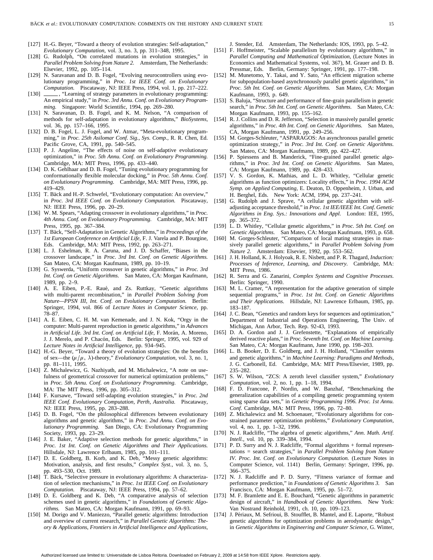- [127] H.-G. Beyer, "Toward a theory of evolution strategies: Self-adaptation," *Evolutionary Computation,* vol. 3, no. 3, pp. 311–348, 1995.
- [128] G. Rudolph, "On correlated mutations in evolution strategies," in *Parallel Problem Solving from Nature 2.* Amsterdam, The Netherlands: Elsevier, 1992, pp. 105–114.
- [129] N. Saravanan and D. B. Fogel, "Evolving neurocontrollers using evolutionary programming," in *Proc. 1st IEEE Conf. on Evolutionary Computation.* Piscataway, NJ: IEEE Press, 1994, vol. 1, pp. 217–222.
- [130] , "Learning of strategy parameters in evolutionary programming: An empirical study," in *Proc. 3rd Annu. Conf. on Evolutionary Program*ming. Singapore: World Scientific, 1994, pp. 269-280.
- [131] N. Saravanan, D. B. Fogel, and K. M. Nelson, "A comparison of methods for self-adaptation in evolutionary algorithms," *BioSystems,* vol. 36, pp. 157–166, 1995.
- [132] D. B. Fogel, L. J. Fogel, and W. Atmar, "Meta-evolutionary programming," in *Proc. 25th Asilomar Conf. Sig., Sys. Comp.,* R. R. Chen, Ed. Pacific Grove, CA, 1991, pp. 540–545.
- [133] P. J. Angeline, "The effects of noise on self-adaptive evolutionary optimization," in *Proc. 5th Annu. Conf. on Evolutionary Programming.* Cambridge, MA: MIT Press, 1996, pp. 433–440.
- [134] D. K. Gehlhaar and D. B. Fogel, "Tuning evolutionary programming for conformationally flexible molecular docking," in *Proc. 5th Annu. Conf. on Evolutionary Programming.* Cambridge, MA: MIT Press, 1996, pp. 419–429.
- [135] T. Bäck and H.-P. Schwefel, "Evolutionary computation: An overview," in *Proc. 3rd IEEE Conf. on Evolutionary Computation.* Piscataway, NJ: IEEE Press, 1996, pp. 20–29.
- [136] W. M. Spears, "Adapting crossover in evolutionary algorithms," in *Proc. 4th Annu. Conf. on Evolutionary Programming.* Cambridge, MA: MIT Press, 1995, pp. 367–384.
- [137] T. Bäck, "Self-Adaptation in Genetic Algorithms," in Proceedings of the *1st European Conference on Artificial Life,* F. J. Varela and P. Bourgine, Eds. Cambridge, MA: MIT Press, 1992, pp. 263–271.
- [138] L. J. Eshelman, R. A. Caruna, and J. D. Schaffer, "Biases in the crossover landscape," in *Proc. 3rd Int. Conf. on Genetic Algorithms.* San Mateo, CA: Morgan Kaufmann, 1989, pp. 10–19.
- [139] G. Syswerda, "Uniform crossover in genetic algorithms," in *Proc. 3rd Int. Conf. on Genetic Algorithms.* San Mateo, CA: Morgan Kaufmann, 1989, pp. 2–9.
- [140] A. E. Eiben, P.-E. Raué, and Zs. Ruttkay, "Genetic algorithms with multi-parent recombination," in *Parallel Problem Solving from Nature—PPSN III, Int. Conf. on Evolutionary Computation.* Berlin: Springer, 1994, vol. 866 of *Lecture Notes in Computer Science*, pp. 78–87.
- [141] A. E. Eiben, C. H. M. van Kemenade, and J. N. Kok, "Orgy in the computer: Multi-parent reproduction in genetic algorithms," in *Advances in Artificial Life. 3rd Int. Conf. on Artificial Life, F. Morán, A. Moreno,* J. J. Merelo, and P. Chacón, Eds. Berlin: Springer, 1995, vol. 929 of *Lecture Notes in Artificial Intelligence,* pp. 934–945.
- [142] H.-G. Beyer, "Toward a theory of evolution strategies: On the benefits of sex—the  $(\mu/\mu, \lambda)$ -theory," *Evolutionary Computation*, vol. 3, no. 1, pp. 81–111, 1995.
- [143] Z. Michalewicz, G. Nazhiyath, and M. Michalewicz, "A note on usefulness of geometrical crossover for numerical optimization problems," in *Proc. 5th Annu. Conf. on Evolutionary Programming.* Cambridge, MA: The MIT Press, 1996, pp. 305–312.
- [144] F. Kursawe, "Toward self-adapting evolution strategies," in *Proc. 2nd IEEE Conf. Evolutionary Computation, Perth, Australia.* Piscataway, NJ: IEEE Press, 1995, pp. 283–288.
- [145] D. B. Fogel, "On the philosophical differences between evolutionary algorithms and genetic algorithms," in *Proc. 2nd Annu. Conf. on Evolutionary Programming.* San Diego, CA: Evolutionary Programming Society, 1993, pp. 23–29.
- [146] J. E. Baker, "Adaptive selection methods for genetic algorithms," in *Proc. 1st Int. Conf. on Genetic Algorithms and Their Applications.* Hillsdale, NJ: Lawrence Erlbaum, 1985, pp. 101–111.
- [147] D. E. Goldberg, B. Korb, and K. Deb, "Messy genetic algorithms: Motivation, analysis, and first results," *Complex Syst.,* vol. 3, no. 5, pp. 493–530, Oct. 1989.
- [148] T. Bäck, "Selective pressure in evolutionary algorithms: A characterization of selection mechanisms," in *Proc. 1st IEEE Conf. on Evolutionary Computation.* Piscataway, NJ: IEEE Press, 1994, pp. 57–62.
- [149] D. E. Goldberg and K. Deb, "A comparative analysis of selection schemes used in genetic algorithms," in *Foundations of Genetic Algorithms.* San Mateo, CA: Morgan Kaufmann, 1991, pp. 69–93.
- [150] M. Dorigo and V. Maniezzo, "Parallel genetic algorithms: Introduction and overview of current research," in *Parallel Genetic Algorithms: Theory & Applications, Frontiers in Artificial Intelligence and Applications,*

J. Stender, Ed. Amsterdam, The Netherlands: IOS, 1993, pp. 5–42.

- [151] F. Hoffmeister, "Scalable parallelism by evolutionary algorithms," in *Parallel Computing and Mathematical Optimization,* (Lecture Notes in Economics and Mathematical Systems, vol. 367), M. Grauer and D. B. Pressmar, Eds. Berlin, Germany: Springer, 1991, pp. 177–198.
- [152] M. Munetomo, Y. Takai, and Y. Sato, "An efficient migration scheme for subpopulation-based asynchronously parallel genetic algorithms," in *Proc. 5th Int. Conf. on Genetic Algorithms.* San Mateo, CA: Morgan Kaufmann, 1993, p. 649.
- [153] S. Baluja, "Structure and performance of fine-grain parallelism in genetic search," in *Proc. 5th Int. Conf. on Genetic Algorithms.* San Mateo, CA: Morgan Kaufmann, 1993, pp. 155–162.
- [154] R. J. Collins and D. R. Jefferson, "Selection in massively parallel genetic algorithms," in *Proc. 4th Int. Conf. on Genetic Algorithms.* San Mateo, CA, Morgan Kaufmann, 1991, pp. 249–256.
- [155] M. Gorges-Schleuter, "ASPARAGOS: An asynchronous parallel genetic optimization strategy," in *Proc. 3rd Int. Conf. on Genetic Algorithms.* San Mateo, CA: Morgan Kaufmann, 1989, pp. 422–427.
- [156] P. Spiessens and B. Manderick, "Fine-grained parallel genetic algorithms," in *Proc. 3rd Int. Conf. on Genetic Algorithms.* San Mateo, CA: Morgan Kaufmann, 1989, pp. 428–433.
- [157] V. S. Gordon, K. Mathias, and L. D. Whitley, "Cellular genetic algorithms as function optimizers: Locality effects," in *Proc. 1994 ACM Symp. on Applied Computing,* E. Deaton, D. Oppenheim, J. Urban, and H. Berghel, Eds. New York: ACM, 1994, pp. 237–241.
- [158] G. Rudolph and J. Sprave, "A cellular genetic algorithm with selfadjusting acceptance threshold," in *Proc. 1st IEE/IEEE Int. Conf. Genetic Algorithms in Eng. Sys.: Innovations and Appl.* London: IEE, 1995, pp. 365–372.
- [159] L. D. Whitley, "Cellular genetic algorithms," in *Proc. 5th Int. Conf. on Genetic Algorithms.* San Mateo, CA: Morgan Kaufmann, 1993, p. 658.
- [160] M. Gorges-Schleuter, "Comparison of local mating strategies in massively parallel genetic algorithms," in *Parallel Problem Solving from Nature 2.* Amsterdam: Elsevier, 1992, pp. 553–562.
- [161] J. H. Holland, K. J. Holyoak, R. E. Nisbett, and P. R. Thagard, *Induction: Processes of Inference, Learning, and Discovery.* Cambridge, MA: MIT Press, 1986.
- [162] R. Serra and G. Zanarini, *Complex Systems and Cognitive Processes.* Berlin: Springer, 1990.
- [163] M. L. Cramer, "A representation for the adaptive generation of simple sequential programs," in *Proc. 1st Int. Conf. on Genetic Algorithms and Their Applications.* Hillsdale, NJ: Lawrence Erlbaum, 1985, pp. 183–187.
- [164] J. C. Bean, "Genetics and random keys for sequences and optimization," Department of Industrial and Operations Engineering, The Univ. of Michigan, Ann Arbor, Tech. Rep. 92-43, 1993.
- [165] D. A. Gordon and J. J. Grefenstette, "Explanations of empirically derived reactive plans," in *Proc. Seventh Int. Conf. on Machine Learning.* San Mateo, CA: Morgan Kaufmann, June 1990, pp. 198–203.
- [166] L. B. Booker, D. E. Goldberg, and J. H. Holland, "Classifier systems and genetic algorithms," in *Machine Learning: Paradigms and Methods,* J. G. Carbonell, Ed. Cambridge, MA: MIT Press/Elsevier, 1989, pp. 235–282.
- [167] S. W. Wilson, "ZCS: A zeroth level classifier system," *Evolutionary Computation,* vol. 2, no. 1, pp. 1–18, 1994.
- [168] F. D. Francone, P. Nordin, and W. Banzhaf, "Benchmarking the generalization capabilities of a compiling genetic programming system using sparse data sets," in *Genetic Programming 1996. Proc. 1st Annu. Conf.* Cambridge, MA: MIT Press, 1996, pp. 72–80.
- [169] Z. Michalewicz and M. Schoenauer, "Evolutionary algorithms for constrained parameter optimization problems," *Evolutionary Computation,* vol. 4, no. 1, pp. 1–32, 1996.
- [170] N. J. Radcliffe, "The algebra of genetic algorithms," *Ann. Math. Artif. Intell.,* vol. 10, pp. 339–384, 1994.
- [171] P. D. Surry and N. J. Radcliffe, "Formal algorithms + formal representations = search strategies," in *Parallel Problem Solving from Nature IV. Proc. Int. Conf. on Evolutionary Computation.* (Lecture Notes in Computer Science, vol. 1141) Berlin, Germany: Springer, 1996, pp. 366–375.
- [172] N. J. Radcliffe and P. D. Surry, "Fitness variance of formae and performance prediction," in *Foundations of Genetic Algorithms 3.* San Francisco, CA: Morgan Kaufmann, 1995, pp. 51–72.
- [173] M. F. Bramlette and E. E. Bouchard, "Genetic algorithms in parametric design of aircraft," in *Handbook of Genetic Algorithms*. New York: Van Nostrand Reinhold, 1991, ch. 10, pp. 109–123.
- [174] J. Périaux, M. Sefrioui, B. Stoufflet, B. Mantel, and E. Laporte, "Robust genetic algorithms for optimization problems in aerodynamic design," in *Genetic Algorithms in Engineering and Computer Science,* G. Winter,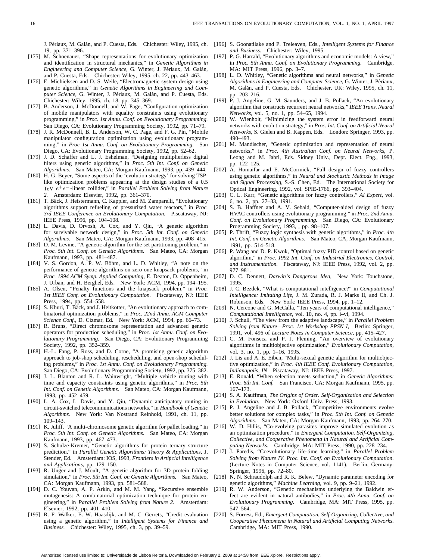19, pp. 371–396.

- [175] M. Schoenauer, "Shape representations for evolutionary optimization and identification in structural mechanics," in *Genetic Algorithms in Engineering and Computer Science*, G. Winter, J. Périaux, M. Galán, and P. Cuesta, Eds. Chichester: Wiley, 1995, ch. 22, pp. 443–463.
- [176] E. Michielssen and D. S. Weile, "Electromagnetic system design using genetic algorithms," in *Genetic Algorithms in Engineering and Computer Science, G. Winter, J. Périaux, M. Galán, and P. Cuesta, Eds.* Chichester: Wiley, 1995, ch. 18, pp. 345–369.
- [177] B. Anderson, J. McDonnell, and W. Page, "Configuration optimization of mobile manipulators with equality constraints using evolutionary programming," in *Proc. 1st Annu. Conf. on Evolutionary Programming.* San Diego, CA: Evolutionary Programming Society, 1992, pp. 71–79.
- [178] J. R. McDonnell, B. L. Anderson, W. C. Page, and F. G. Pin, "Mobile manipulator configuration optimization using evolutionary programming," in *Proc 1st Annu. Conf. on Evolutionary Programming.* San Diego, CA: Evolutionary Programming Society, 1992, pp. 52–62.
- [179] J. D. Schaffer and L. J. Eshelman, "Designing multiplierless digital filters using genetic algorithms," in *Proc. 5th Int. Conf. on Genetic Algorithms.* San Mateo, CA: Morgan Kaufmann, 1993, pp. 439–444.
- [180] H.-G. Beyer, "Some aspects of the 'evolution strategy' for solving TSPlike optimization problems appearing at the design studies of a 0.5 Algorithms. San Mateo, CA: Morgan Kaufmann, 1993, pp. 439–444.<br>H.-G. Beyer, "Some aspects of the 'evolution strategy' for solving TSP-<br>like optimization problems appearing at the design studies of a 0.5<br>TeV  $e^+e^-$ -linear *2.* Amsterdam: Elsevier, 1992, pp. 361–370.
- [181] T. Bäck, J. Heistermann, C. Kappler, and M. Zamparelli, "Evolutionary algorithms support refueling of pressurized water reactors," in *Proc. 3rd IEEE Conference on Evolutionary Computation.* Piscataway, NJ: IEEE Press, 1996, pp. 104–108.
- [182] L. Davis, D. Orvosh, A. Cox, and Y. Qiu, "A genetic algorithm for survivable network design," in *Proc. 5th Int. Conf. on Genetic Algorithms.* San Mateo, CA: Morgan Kaufmann, 1993, pp. 408–415.
- [183] D. M. Levine, "A genetic algorithm for the set partitioning problem," in *Proc. 5th Int. Conf. on Genetic Algorithms.* San Mateo, CA: Morgan Kaufmann, 1993, pp. 481–487.
- [184] V. S. Gordon, A. P. W. Böhm, and L. D. Whitley, "A note on the performance of genetic algorithms on zero-one knapsack problems," in *Proc. 1994 ACM Symp. Applied Computing,* E. Deaton, D. Oppenheim, J. Urban, and H. Berghel, Eds. New York: ACM, 1994, pp. 194–195.
- [185] A. Olsen, "Penalty functions and the knapsack problem," in *Proc. 1st IEEE Conf. on Evolutionary Computation.* Piscataway, NJ: IEEE Press, 1994, pp. 554–558.
- [186] S. Khuri, T. Back, and J. Heitkötter, "An evolutionary approach to combinatorial optimization problems," in *Proc. 22nd Annu. ACM Computer Science Conf.,* D. Cizmar, Ed. New York: ACM, 1994, pp. 66–73.
- [187] R. Bruns, "Direct chromosome representation and advanced genetic operators for production scheduling," in *Proc. 1st Annu. Conf. on Evolutionary Programming.* San Diego, CA: Evolutionary Programming Society, 1992, pp. 352–359.
- [188] H.-L. Fang, P. Ross, and D. Corne, "A promising genetic algorithm approach to job-shop scheduling, rescheduling, and open-shop scheduling problems," in *Proc. 1st Annu. Conf. on Evolutionary Programming.* San Diego, CA: Evolutionary Programming Society, 1992, pp. 375–382.
- [189] J. L. Blanton and R. L. Wainwright, "Multiple vehicle routing with time and capacity constraints using genetic algorithms," in *Proc. 5th Int. Conf. on Genetic Algorithms.* San Mateo, CA: Morgan Kaufmann, 1993, pp. 452–459.
- [190] L. A. Cox, L. Davis, and Y. Qiu, "Dynamic anticipatory routing in circuit-switched telecommunications networks," in *Handbook of Genetic Algorithms.* New York: Van Nostrand Reinhold, 1991, ch. 11, pp. 109–143.
- [191] K. Juliff, "A multi-chromosome genetic algorithm for pallet loading," in *Proc. 5th Int. Conf. on Genetic Algorithms.* San Mateo, CA: Morgan Kaufmann, 1993, pp. 467–473.
- [192] S. Schulze-Kremer, "Genetic algorithms for protein ternary structure prediction," in *Parallel Genetic Algorithms: Theory & Applications,* J. Stender, Ed. Amsterdam: IOS, 1993, *Frontiers in Artificial Intelligence and Applications,* pp. 129–150.
- [193] R. Unger and J. Moult, "A genetic algorithm for 3D protein folding simulation," in *Proc. 5th Int. Conf. on Genetic Algorithms.* San Mateo, CA: Morgan Kaufmann, 1993, pp. 581–588.
- [194] D. C. Youvan, A. P. Arkin, and M. M. Yang, "Recursive ensemble mutagenesis: A combinatorial optimization technique for protein engineering," in *Parallel Problem Solving from Nature 2.* Amsterdam: Elsevier, 1992, pp. 401–410.
- [195] R. F. Walker, E. W. Haasdijk, and M. C. Gerrets, "Credit evaluation using a genetic algorithm," in *Intelligent Systems for Finance and Business.* Chichester: Wiley, 1995, ch. 3, pp. 39–59.
- J. Périaux, M. Galán, and P. Cuesta, Eds. Chichester: Wiley, 1995, ch. [196] S. Goonatilake and P. Treleaven, Eds., Intelligent Systems for Finance *and Business.* Chichester: Wiley, 1995.
	- [197] P. G. Harrald, "Evolutionary algorithms and economic models: A view," in *Proc. 5th Annu. Conf. on Evolutionary Programming.* Cambridge, MA: MIT Press, 1996, pp. 3–7.
	- [198] L. D. Whitley, "Genetic algorithms and neural networks," in *Genetic Algorithms in Engineering and Computer Science,* G. Winter, J. Periaux, ´ M. Galán, and P. Cuesta, Eds. Chichester, UK: Wiley, 1995, ch. 11, pp. 203–216.
	- [199] P. J. Angeline, G. M. Saunders, and J. B. Pollack, "An evolutionary algorithm that constructs recurrent neural networks," *IEEE Trans. Neural Networks,* vol. 5, no. 1, pp. 54–65, 1994.
	- W. Wienholt, "Minimizing the system error in feedforward neural networks with evolution strategy," in *Proc. Int. Conf. on Artificial Neural Networks,* S. Gielen and B. Kappen, Eds. London: Springer, 1993, pp. 490–493.
	- [201] M. Mandischer, "Genetic optimization and representation of neural networks," in *Proc. 4th Australian Conf. on Neural Networks,* P. Leong and M. Jabri, Eds. Sidney Univ., Dept. Elect. Eng., 1993, pp. 122–125.
	- [202] A. Homaifar and E. McCormick, "Full design of fuzzy controllers using genetic algorithms," in *Neural and Stochastic Methods in Image and Signal Processing,* S.-S. Chen, Ed. The International Society for Optical Engineering, 1992, vol. SPIE-1766, pp. 393–404.
	- [203] C. L. Karr, "Genetic algorithms for fuzzy controllers," *AI Expert,* vol. 6, no. 2, pp. 27–33, 1991.
	- [204] S. B. Haffner and A. V. Sebald, "Computer-aided design of fuzzy HVAC controllers using evolutionary programming," in *Proc. 2nd Annu. Conf. on Evolutionary Programming.* San Diego, CA: Evolutionary Programming Society, 1993, , pp. 98–107.
	- [205] P. Thrift, "Fuzzy logic synthesis with genetic algorithms," in *Proc. 4th Int. Conf. on Genetic Algorithms.* San Mateo, CA, Morgan Kaufmann, 1991, pp. 514–518.
	- [206] P. Wang and D. P. Kwok, "Optimal fuzzy PID control based on genetic algorithm," in *Proc. 1992 Int. Conf. on Industrial Electronics, Control, and Instrumentation.* Piscataway, NJ: IEEE Press, 1992, vol. 2, pp. 977–981.
	- [207] D. C. Dennett, *Darwin's Dangerous Idea,* New York: Touchstone, 1995.
	- [208] J. C. Bezdek, "What is computational intelligence?" in *Computational Intelligence: Imitating Life,* J. M. Zurada, R. J. Marks II, and Ch. J. Robinson, Eds. New York: IEEE Press, 1994, pp. 1–12.
	- [209] N. Cercone and G. McCalla, "Ten years of computational intelligence," *Computational Intelligence,* vol. 10, no. 4, pp. i–vi, 1994.
	- [210] J. Schull, "The view from the adaptive landscape," in *Parallel Problem Solving from Nature—Proc. 1st Workshop PPSN I,* Berlin: Springer, 1991, vol. 496 of *Lecture Notes in Computer Science*, pp. 415–427.
	- [211] C. M. Fonseca and P. J. Fleming, "An overview of evolutionary algorithms in multiobjective optimization," *Evolutionary Computation,* vol. 3, no. 1, pp. 1–16, 1995.
	- [212] J. Lis and A. E. Eiben, "Multi-sexual genetic algorithm for multiobjective optimization," in *Proc. 4th IEEE Conf. Evolutionary Computation, Indianapolis, IN* Piscataway, NJ: IEEE Press, 1997.
	- [213] E. Ronald, "When selection meets seduction," in *Genetic Algorithms: Proc. 6th Int. Conf.* San Francisco, CA: Morgan Kaufmann, 1995, pp. 167–173.
	- [214] S. A. Kauffman, *The Origins of Order. Self-Organization and Selection in Evolution.* New York: Oxford Univ. Press, 1993.
	- [215] P. J. Angeline and J. B. Pollack, "Competitive environments evolve better solutions for complex tasks," in *Proc. 5th Int. Conf. on Genetic Algorithms.* San Mateo, CA: Morgan Kaufmann, 1993, pp. 264–270.
	- [216] W. D. Hillis, "Co-evolving parasites improve simulated evolution as an optimization procedure," in *Emergent Computation. Self-Organizing, Collective, and Cooperative Phenomena in Natural and Artificial Computing Networks.* Cambridge, MA: MIT Press, 1990, pp. 228–234.
	- [217] J. Paredis, "Coevolutionary life-time learning," in *Parallel Problem Solving from Nature IV. Proc. Int. Conf. on Evolutionary Computation.* (Lecture Notes in Computer Science, vol. 1141). Berlin, Germany: Springer, 1996, pp. 72–80.
	- [218] N. N. Schraudolph and R. K. Belew, "Dynamic parameter encoding for genetic algorithms," *Machine Learning,* vol. 9, pp. 9–21, 1992.
	- [219] R. W. Anderson, "Genetic mechanisms underlying the Baldwin effect are evident in natural antibodies," in *Proc. 4th Annu. Conf. on Evolutionary Programming.* Cambridge, MA: MIT Press, 1995, pp. 547–564.
	- [220] S. Forrest, Ed., *Emergent Computation. Self-Organizing, Collective, and Cooperative Phenomena in Natural and Artificial Computing Networks.* Cambridge, MA: MIT Press, 1990.